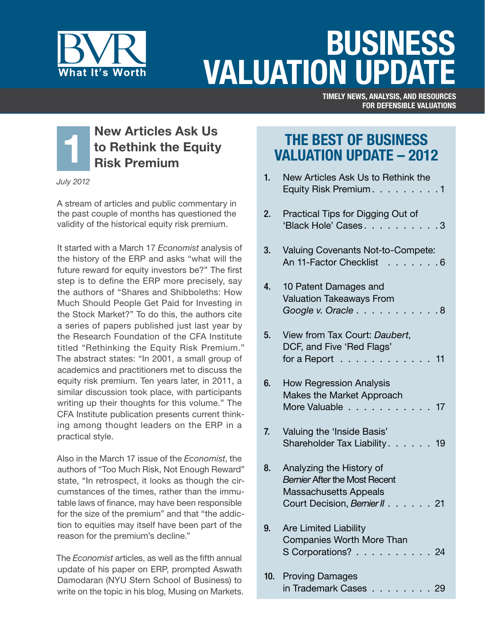

# Business **VALUATION UPDA**

Timely news, analysis, and resources for Defensible Valuations



*July 2012*

A stream of articles and public commentary in the past couple of months has questioned the validity of the historical equity risk premium.

It started with a March 17 *Economist* analysis of the history of the ERP and asks "what will the future reward for equity investors be?" The first step is to define the ERP more precisely, say the authors of "Shares and Shibboleths: How Much Should People Get Paid for Investing in the Stock Market?" To do this, the authors cite a series of papers published just last year by the Research Foundation of the CFA Institute titled "Rethinking the Equity Risk Premium." The abstract states: "In 2001, a small group of academics and practitioners met to discuss the equity risk premium. Ten years later, in 2011, a similar discussion took place, with participants writing up their thoughts for this volume." The CFA Institute publication presents current thinking among thought leaders on the ERP in a practical style.

Also in the March 17 issue of the *Economist*, the authors of "Too Much Risk, Not Enough Reward" state, "In retrospect, it looks as though the circumstances of the times, rather than the immutable laws of finance, may have been responsible for the size of the premium" and that "the addiction to equities may itself have been part of the reason for the premium's decline."

The *Economist* articles, as well as the fifth annual update of his paper on ERP, prompted Aswath Damodaran (NYU Stern School of Business) to write on the topic in his blog, Musing on Markets.

# The Best of Business Valuation Update – 2012

| 1.  | New Articles Ask Us to Rethink the<br>Equity Risk Premium. 1                                                                                                                                                |
|-----|-------------------------------------------------------------------------------------------------------------------------------------------------------------------------------------------------------------|
| 2.  | Practical Tips for Digging Out of<br>'Black Hole' Cases3                                                                                                                                                    |
| 3.  | Valuing Covenants Not-to-Compete:<br>An 11-Factor Checklist 6                                                                                                                                               |
| 4.  | 10 Patent Damages and<br><b>Valuation Takeaways From</b><br>Google v. Oracle.<br>. 8<br>- 1                                                                                                                 |
| 5.  | View from Tax Court: Daubert,<br>DCF, and Five 'Red Flags'<br>for a Report.<br>11<br>the contract of the contract of the contract of the contract of the contract of the contract of the contract of<br>- 1 |
| 6.  | <b>How Regression Analysis</b><br>Makes the Market Approach<br>More Valuable<br>$\overline{1}$ . $\overline{1}$<br>17                                                                                       |
| 7.  | Valuing the 'Inside Basis'<br>Shareholder Tax Liability.<br>. 19                                                                                                                                            |
| 8.  | Analyzing the History of<br><b>Bernier After the Most Recent</b><br><b>Massachusetts Appeals</b><br>Court Decision, Bernier II.<br>21                                                                       |
| 9.  | <b>Are Limited Liability</b><br>Companies Worth More Than<br>S Corporations?<br>24                                                                                                                          |
| 10. | <b>Proving Damages</b><br>in Trademark Cases<br>29                                                                                                                                                          |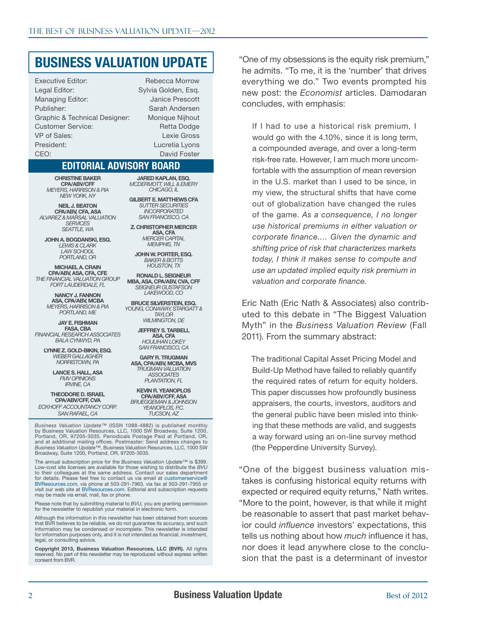# Business Valuation Update

Executive Editor: Rebecca Morrow Legal Editor: Sylvia Golden, Esq. Managing Editor: Janice Prescott Publisher: Sarah Andersen Graphic & Technical Designer: Monique Nijhout Customer Service: Retta Dodge VP of Sales: Lexie Gross President: Lucretia Lyons CEO: David Foster

#### Editorial Advisory Board

Christine Baker CPA/ABV/CFF *Meyers, Harrison & Pia New York, NY*

Neil J. Beaton CPA/ARV, CFA, ASA *Alvarez & Marsal Valuation Services Seattle, Wa*

john A. Bogdanski, Esq. *Lewis & Clark Law School Portland, Or*

Michael A. Crain CPA/ABV, ASA, CFA, CFE *The Financial Valuation Group Fort Lauderdale, FL*

> Nancy J. Fannon ASA, CPA/ABV, MCBA *Meyers, Harrison & Pia Portland, Me*

Jay E. Fishman **FASA, CBA** *Financial Research Associates Bala Cynwyd, Pa*

> Lynne z. Gold-Bikin, Esq. *Weber Gallagher Norristown, Pa*

> > Lance s. hall, ASA *FMV Opinions Irvine, Ca*

Theodore D. Israel CPA/ABV/CFF, CVA *ECKHOFF ACCOUNTANCY CORP. SAN RAFAEL, CA*

jared Kaplan, Esq. *McDermott, Will & Emery Chicago, Il*

Gilbert E. Matthews CFA *SutterSecurities Incorporated San Francisco, Ca*

Z. Christopher Mercer ASA, CFA *Mercer Capital Memphis, TN*

John W. Porter, Esq. *Baker & Botts Houston, Tx*

Ronald L. Seigneur MBA, ASA, CPA/ABV, CVA, CFF *Seigneur Gustafson Lakewood, Co*

Bruce silverstein, esq. *Young, Conaway, Stargatt & Taylor*

> *WII MINGTON, DF* Jeffrey S. tarbell ASA, CFA *Houlihan Lokey*

*San Francisco, Ca* Gary R. Trugman ASA, CPA/ABV, MCBA, MVS

*Trugman Valuation Associates Plantation, Fl*

Kevin R. Yeanoplos CPA/ABV/CFF, ASA *Brueggeman & Johnson Yeanoplos, P.C. Tucson, AZ*

*Business Valuation Update™* (ISSN 1088-4882) is published monthly<br>by Business Valuation Resources, LLC, 1000 SW Broadway, Suite 1200,<br>Portland, OR, 97205-3035. Periodicals Postage Paid at Portland, OR, and at additional mailing offices. Postmaster: Send address changes to *Business Valuation Update*™, Business Valuation Resources, LLC, 1000 SW Broadway, Suite 1200, Portland, OR, 97205-3035.

The annual subscription price for the *Business Valuation Update*™ is \$399. Low-cost site licenses are available for those wishing to distribute the *BVU* to their colleagues at the same address. Contact our sales department for details. Please feel free to contact us via email at [customerservice@](mailto:customerservice@BVResources.com) [BVResources.com,](mailto:customerservice@BVResources.com) via phone at 503-291-7963, via fax at 503-291-7955 or visit our web site at [BVResources.com](http://BVResources.com). Editorial and subscription requests may be made via email, mail, fax or phone.

Please note that by submitting material to *BVU,* you are granting permission for the newsletter to republish your material in electronic form.

Although the information in this newsletter has been obtained from sources that BVR believes to be reliable, we do not guarantee its accuracy, and such information may be condensed or incomplete. This newsletter is intended for information purposes only, and it is not intended as financial, investment, legal, or consulting advice.

Copyright 2013, Business Valuation Resources, LLC (BVR). All rights reserved. No part of this newsletter may be reproduced without express written consent from BVR.

"One of my obsessions is the equity risk premium," he admits. "To me, it is the 'number' that drives everything we do." Two events prompted his new post: the *Economist* articles. Damodaran concludes, with emphasis:

If I had to use a historical risk premium, I would go with the 4.10%, since it is long term, a compounded average, and over a long-term risk-free rate. However, I am much more uncomfortable with the assumption of mean reversion in the U.S. market than I used to be since, in my view, the structural shifts that have come out of globalization have changed the rules of the game. *As a consequence, I no longer use historical premiums in either valuation or corporate finance.… Given the dynamic and shifting price of risk that characterizes markets today, I think it makes sense to compute and use an updated implied equity risk premium in valuation and corporate finance.*

Eric Nath (Eric Nath & Associates) also contributed to this debate in "The Biggest Valuation Myth" in the *Business Valuation Review* (Fall 2011). From the summary abstract:

The traditional Capital Asset Pricing Model and Build-Up Method have failed to reliably quantify the required rates of return for equity holders. This paper discusses how profoundly business appraisers, the courts, investors, auditors and the general public have been misled into thinking that these methods are valid, and suggests a way forward using an on-line survey method (the Pepperdine University Survey).

"One of the biggest business valuation mistakes is confusing historical equity returns with expected or required equity returns," Nath writes. "More to the point, however, is that while it might be reasonable to assert that past market behavior could *influence* investors' expectations, this tells us nothing about how *much* influence it has, nor does it lead anywhere close to the conclusion that the past is a determinant of investor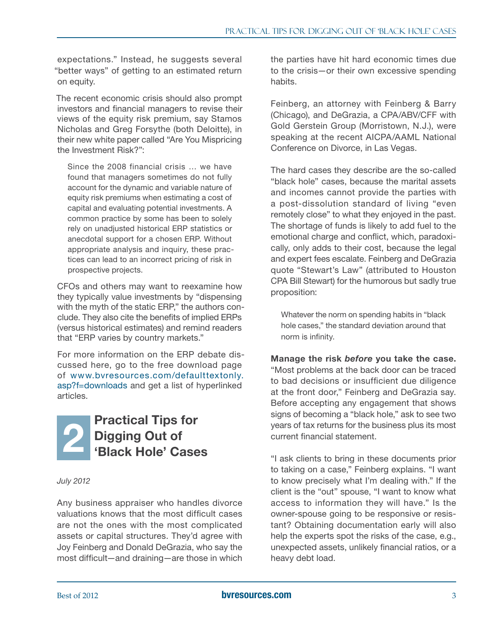<span id="page-2-0"></span>expectations." Instead, he suggests several "better ways" of getting to an estimated return on equity.

The recent economic crisis should also prompt investors and financial managers to revise their views of the equity risk premium, say Stamos Nicholas and Greg Forsythe (both Deloitte), in their new white paper called "Are You Mispricing the Investment Risk?":

Since the 2008 financial crisis … we have found that managers sometimes do not fully account for the dynamic and variable nature of equity risk premiums when estimating a cost of capital and evaluating potential investments. A common practice by some has been to solely rely on unadjusted historical ERP statistics or anecdotal support for a chosen ERP. Without appropriate analysis and inquiry, these practices can lead to an incorrect pricing of risk in prospective projects.

CFOs and others may want to reexamine how they typically value investments by "dispensing with the myth of the static ERP," the authors conclude. They also cite the benefits of implied ERPs (versus historical estimates) and remind readers that "ERP varies by country markets."

For more information on the ERP debate discussed here, go to the free download page of [www.bvresources.com/defaulttextonly.](www.bvresources.com/defaulttextonly.asp?f=downloads) [asp?f=downloads](www.bvresources.com/defaulttextonly.asp?f=downloads) and get a list of hyperlinked articles.



*July 2012*

Any business appraiser who handles divorce valuations knows that the most difficult cases are not the ones with the most complicated assets or capital structures. They'd agree with Joy Feinberg and Donald DeGrazia, who say the most difficult—and draining—are those in which the parties have hit hard economic times due to the crisis—or their own excessive spending habits.

Feinberg, an attorney with Feinberg & Barry (Chicago), and DeGrazia, a CPA/ABV/CFF with Gold Gerstein Group (Morristown, N.J.), were speaking at the recent AICPA/AAML National Conference on Divorce, in Las Vegas.

The hard cases they describe are the so-called "black hole" cases, because the marital assets and incomes cannot provide the parties with a post-dissolution standard of living "even remotely close" to what they enjoyed in the past. The shortage of funds is likely to add fuel to the emotional charge and conflict, which, paradoxically, only adds to their cost, because the legal and expert fees escalate. Feinberg and DeGrazia quote "Stewart's Law" (attributed to Houston CPA Bill Stewart) for the humorous but sadly true proposition:

Whatever the norm on spending habits in "black hole cases," the standard deviation around that norm is infinity.

Manage the risk *before* you take the case.

"Most problems at the back door can be traced to bad decisions or insufficient due diligence at the front door," Feinberg and DeGrazia say. Before accepting any engagement that shows signs of becoming a "black hole," ask to see two years of tax returns for the business plus its most current financial statement.

"I ask clients to bring in these documents prior to taking on a case," Feinberg explains. "I want to know precisely what I'm dealing with." If the client is the "out" spouse, "I want to know what access to information they will have." Is the owner-spouse going to be responsive or resistant? Obtaining documentation early will also help the experts spot the risks of the case, e.g., unexpected assets, unlikely financial ratios, or a heavy debt load.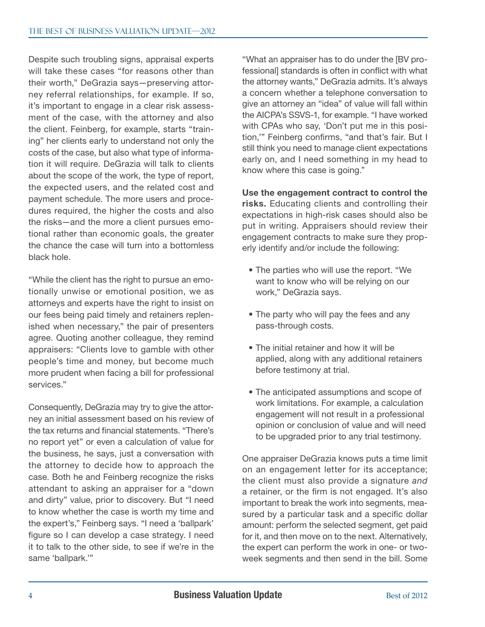Despite such troubling signs, appraisal experts will take these cases "for reasons other than their worth," DeGrazia says—preserving attorney referral relationships, for example. If so, it's important to engage in a clear risk assessment of the case, with the attorney and also the client. Feinberg, for example, starts "training" her clients early to understand not only the costs of the case, but also what type of information it will require. DeGrazia will talk to clients about the scope of the work, the type of report, the expected users, and the related cost and payment schedule. The more users and procedures required, the higher the costs and also the risks—and the more a client pursues emotional rather than economic goals, the greater the chance the case will turn into a bottomless black hole.

"While the client has the right to pursue an emotionally unwise or emotional position, we as attorneys and experts have the right to insist on our fees being paid timely and retainers replenished when necessary," the pair of presenters agree. Quoting another colleague, they remind appraisers: "Clients love to gamble with other people's time and money, but become much more prudent when facing a bill for professional services."

Consequently, DeGrazia may try to give the attorney an initial assessment based on his review of the tax returns and financial statements. "There's no report yet" or even a calculation of value for the business, he says, just a conversation with the attorney to decide how to approach the case. Both he and Feinberg recognize the risks attendant to asking an appraiser for a "down and dirty" value, prior to discovery. But "I need to know whether the case is worth my time and the expert's," Feinberg says. "I need a 'ballpark' figure so I can develop a case strategy. I need it to talk to the other side, to see if we're in the same 'ballpark.'"

"What an appraiser has to do under the [BV professionall standards is often in conflict with what the attorney wants," DeGrazia admits. It's always a concern whether a telephone conversation to give an attorney an "idea" of value will fall within the AICPA's SSVS-1, for example. "I have worked with CPAs who say, 'Don't put me in this position,'" Feinberg confirms, "and that's fair. But I still think you need to manage client expectations early on, and I need something in my head to know where this case is going."

Use the engagement contract to control the risks. Educating clients and controlling their expectations in high-risk cases should also be put in writing. Appraisers should review their engagement contracts to make sure they properly identify and/or include the following:

- The parties who will use the report. "We want to know who will be relying on our work," DeGrazia says.
- The party who will pay the fees and any pass-through costs.
- The initial retainer and how it will be applied, along with any additional retainers before testimony at trial.
- The anticipated assumptions and scope of work limitations. For example, a calculation engagement will not result in a professional opinion or conclusion of value and will need to be upgraded prior to any trial testimony.

One appraiser DeGrazia knows puts a time limit on an engagement letter for its acceptance; the client must also provide a signature *and* a retainer, or the firm is not engaged. It's also important to break the work into segments, measured by a particular task and a specific dollar amount: perform the selected segment, get paid for it, and then move on to the next. Alternatively, the expert can perform the work in one- or twoweek segments and then send in the bill. Some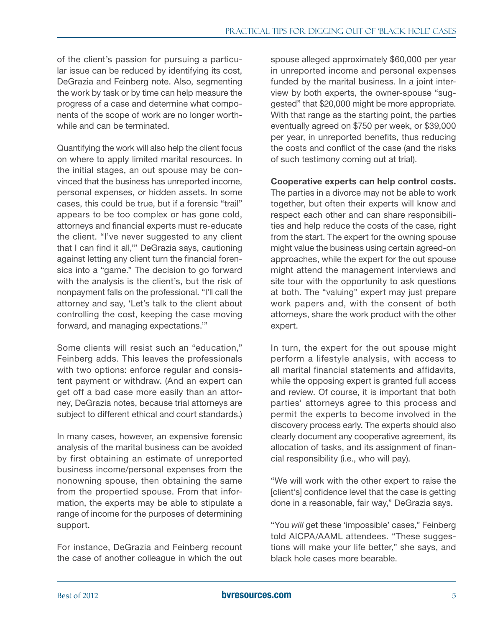of the client's passion for pursuing a particular issue can be reduced by identifying its cost, DeGrazia and Feinberg note. Also, segmenting the work by task or by time can help measure the progress of a case and determine what components of the scope of work are no longer worthwhile and can be terminated.

Quantifying the work will also help the client focus on where to apply limited marital resources. In the initial stages, an out spouse may be convinced that the business has unreported income, personal expenses, or hidden assets. In some cases, this could be true, but if a forensic "trail" appears to be too complex or has gone cold, attorneys and financial experts must re-educate the client. "I've never suggested to any client that I can find it all,'" DeGrazia says, cautioning against letting any client turn the financial forensics into a "game." The decision to go forward with the analysis is the client's, but the risk of nonpayment falls on the professional. "I'll call the attorney and say, 'Let's talk to the client about controlling the cost, keeping the case moving forward, and managing expectations.'"

Some clients will resist such an "education," Feinberg adds. This leaves the professionals with two options: enforce regular and consistent payment or withdraw. (And an expert can get off a bad case more easily than an attorney, DeGrazia notes, because trial attorneys are subject to different ethical and court standards.)

In many cases, however, an expensive forensic analysis of the marital business can be avoided by first obtaining an estimate of unreported business income/personal expenses from the nonowning spouse, then obtaining the same from the propertied spouse. From that information, the experts may be able to stipulate a range of income for the purposes of determining support.

For instance, DeGrazia and Feinberg recount the case of another colleague in which the out spouse alleged approximately \$60,000 per year in unreported income and personal expenses funded by the marital business. In a joint interview by both experts, the owner-spouse "suggested" that \$20,000 might be more appropriate. With that range as the starting point, the parties eventually agreed on \$750 per week, or \$39,000 per year, in unreported benefits, thus reducing the costs and conflict of the case (and the risks of such testimony coming out at trial).

Cooperative experts can help control costs.

The parties in a divorce may not be able to work together, but often their experts will know and respect each other and can share responsibilities and help reduce the costs of the case, right from the start. The expert for the owning spouse might value the business using certain agreed-on approaches, while the expert for the out spouse might attend the management interviews and site tour with the opportunity to ask questions at both. The "valuing" expert may just prepare work papers and, with the consent of both attorneys, share the work product with the other expert.

In turn, the expert for the out spouse might perform a lifestyle analysis, with access to all marital financial statements and affidavits, while the opposing expert is granted full access and review. Of course, it is important that both parties' attorneys agree to this process and permit the experts to become involved in the discovery process early. The experts should also clearly document any cooperative agreement, its allocation of tasks, and its assignment of financial responsibility (i.e., who will pay).

"We will work with the other expert to raise the [client's] confidence level that the case is getting done in a reasonable, fair way," DeGrazia says.

"You *will* get these 'impossible' cases," Feinberg told AICPA/AAML attendees. "These suggestions will make your life better," she says, and black hole cases more bearable.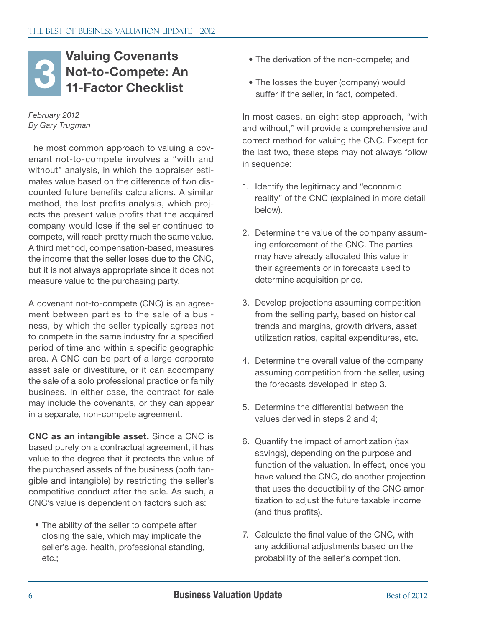#### <span id="page-5-0"></span>Valuing Covenants Not-to-Compete: An 11-Factor Checklist Valuing Covenants<br>
11-Factor Checklist<br>
11-Factor Checklist<br>
<sup>11-Factor Checklist suffer if the seller in fact compated</sup>

#### *February 2012 By Gary Trugman*

The most common approach to valuing a covenant not-to-compete involves a "with and without" analysis, in which the appraiser estimates value based on the difference of two discounted future benefits calculations. A similar method, the lost profits analysis, which projects the present value profits that the acquired company would lose if the seller continued to compete, will reach pretty much the same value. A third method, compensation-based, measures the income that the seller loses due to the CNC, but it is not always appropriate since it does not measure value to the purchasing party.

A covenant not-to-compete (CNC) is an agreement between parties to the sale of a business, by which the seller typically agrees not to compete in the same industry for a specified period of time and within a specific geographic area. A CNC can be part of a large corporate asset sale or divestiture, or it can accompany the sale of a solo professional practice or family business. In either case, the contract for sale may include the covenants, or they can appear in a separate, non-compete agreement.

CNC as an intangible asset. Since a CNC is based purely on a contractual agreement, it has value to the degree that it protects the value of the purchased assets of the business (both tangible and intangible) by restricting the seller's competitive conduct after the sale. As such, a CNC's value is dependent on factors such as:

• The ability of the seller to compete after closing the sale, which may implicate the seller's age, health, professional standing, etc.;

- 
- The losses the buyer (company) would suffer if the seller, in fact, competed.

In most cases, an eight-step approach, "with and without," will provide a comprehensive and correct method for valuing the CNC. Except for the last two, these steps may not always follow in sequence:

- 1. Identify the legitimacy and "economic reality" of the CNC (explained in more detail below).
- 2. Determine the value of the company assuming enforcement of the CNC. The parties may have already allocated this value in their agreements or in forecasts used to determine acquisition price.
- 3. Develop projections assuming competition from the selling party, based on historical trends and margins, growth drivers, asset utilization ratios, capital expenditures, etc.
- 4. Determine the overall value of the company assuming competition from the seller, using the forecasts developed in step 3.
- 5. Determine the differential between the values derived in steps 2 and 4;
- 6. Quantify the impact of amortization (tax savings), depending on the purpose and function of the valuation. In effect, once you have valued the CNC, do another projection that uses the deductibility of the CNC amortization to adjust the future taxable income (and thus profits).
- 7. Calculate the final value of the CNC, with any additional adjustments based on the probability of the seller's competition.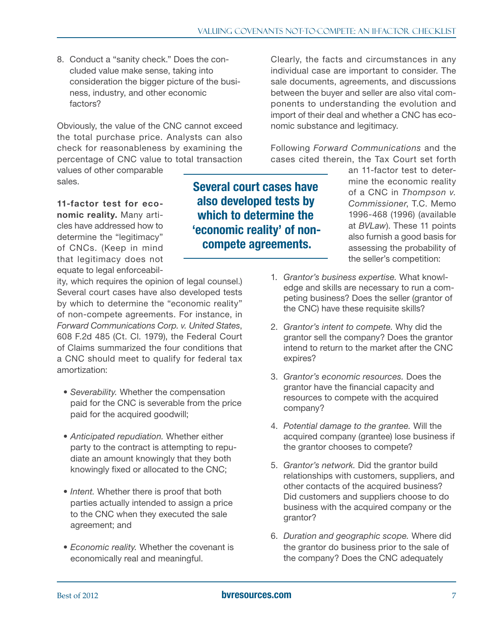8. Conduct a "sanity check." Does the concluded value make sense, taking into consideration the bigger picture of the business, industry, and other economic factors?

Obviously, the value of the CNC cannot exceed the total purchase price. Analysts can also check for reasonableness by examining the percentage of CNC value to total transaction

values of other comparable sales.

11-factor test for economic reality. Many articles have addressed how to determine the "legitimacy" of CNCs. (Keep in mind that legitimacy does not equate to legal enforceabil-

ity, which requires the opinion of legal counsel.) Several court cases have also developed tests by which to determine the "economic reality" of non-compete agreements. For instance, in *Forward Communications Corp. v. United States*, 608 F.2d 485 (Ct. Cl. 1979), the Federal Court of Claims summarized the four conditions that a CNC should meet to qualify for federal tax amortization:

- • *Severability.* Whether the compensation paid for the CNC is severable from the price paid for the acquired goodwill;
- *Anticipated repudiation*. Whether either party to the contract is attempting to repudiate an amount knowingly that they both knowingly fixed or allocated to the CNC;
- *Intent.* Whether there is proof that both parties actually intended to assign a price to the CNC when they executed the sale agreement; and
- *Economic reality*. Whether the covenant is economically real and meaningful.

Clearly, the facts and circumstances in any individual case are important to consider. The sale documents, agreements, and discussions between the buyer and seller are also vital components to understanding the evolution and import of their deal and whether a CNC has economic substance and legitimacy.

Following *Forward Communications* and the cases cited therein, the Tax Court set forth

Several court cases have also developed tests by which to determine the 'economic reality' of noncompete agreements.

an 11-factor test to determine the economic reality of a CNC in *Thompson v. Commissioner*, T.C. Memo 1996-468 (1996) (available at *BVLaw*). These 11 points also furnish a good basis for assessing the probability of the seller's competition:

- 1. *Grantor's business expertise.* What knowledge and skills are necessary to run a competing business? Does the seller (grantor of the CNC) have these requisite skills?
- 2. *Grantor's intent to compete.* Why did the grantor sell the company? Does the grantor intend to return to the market after the CNC expires?
- 3. *Grantor's economic resources.* Does the grantor have the financial capacity and resources to compete with the acquired company?
- 4. *Potential damage to the grantee.* Will the acquired company (grantee) lose business if the grantor chooses to compete?
- 5. *Grantor's network.* Did the grantor build relationships with customers, suppliers, and other contacts of the acquired business? Did customers and suppliers choose to do business with the acquired company or the grantor?
- 6. *Duration and geographic scope.* Where did the grantor do business prior to the sale of the company? Does the CNC adequately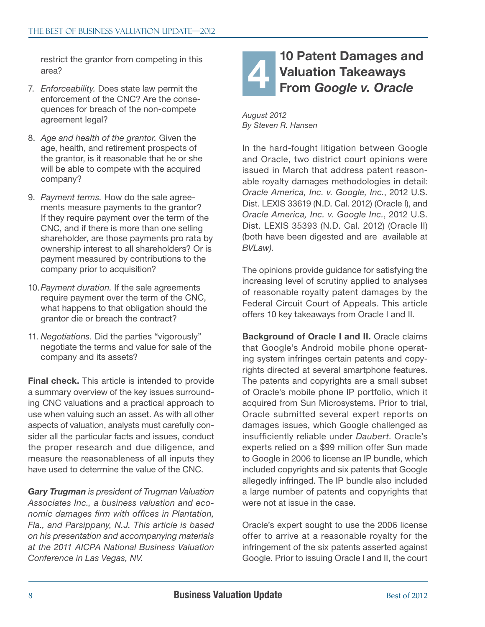<span id="page-7-0"></span>restrict the grantor from competing in this area?

- 7. *Enforceability.* Does state law permit the enforcement of the CNC? Are the consequences for breach of the non-compete agreement legal?
- 8. *Age and health of the grantor.* Given the age, health, and retirement prospects of the grantor, is it reasonable that he or she will be able to compete with the acquired company?
- 9. *Payment terms.* How do the sale agreements measure payments to the grantor? If they require payment over the term of the CNC, and if there is more than one selling shareholder, are those payments pro rata by ownership interest to all shareholders? Or is payment measured by contributions to the company prior to acquisition?
- 10. *Payment duration.* If the sale agreements require payment over the term of the CNC, what happens to that obligation should the grantor die or breach the contract?
- 11. *Negotiations.* Did the parties "vigorously" negotiate the terms and value for sale of the company and its assets?

**Final check.** This article is intended to provide a summary overview of the key issues surrounding CNC valuations and a practical approach to use when valuing such an asset. As with all other aspects of valuation, analysts must carefully consider all the particular facts and issues, conduct the proper research and due diligence, and measure the reasonableness of all inputs they have used to determine the value of the CNC.

*Gary Trugman is president of Trugman Valuation Associates Inc., a business valuation and economic damages firm with offices in Plantation, Fla., and Parsippany, N.J. This article is based on his presentation and accompanying materials at the 2011 AICPA National Business Valuation Conference in Las Vegas, NV.*

#### 10 Patent Damages and Valuation Takeaways From *Google v. Oracle* 4

*August 2012 By Steven R. Hansen*

In the hard-fought litigation between Google and Oracle, two district court opinions were issued in March that address patent reasonable royalty damages methodologies in detail: *Oracle America, Inc. v. Google, Inc.*, 2012 U.S. Dist. LEXIS 33619 (N.D. Cal. 2012) (Oracle I), and *Oracle America, Inc. v. Google Inc.*, 2012 U.S. Dist. LEXIS 35393 (N.D. Cal. 2012) (Oracle II) (both have been digested and are available at *BVLaw)*.

The opinions provide guidance for satisfying the increasing level of scrutiny applied to analyses of reasonable royalty patent damages by the Federal Circuit Court of Appeals. This article offers 10 key takeaways from Oracle I and II.

Background of Oracle I and II. Oracle claims that Google's Android mobile phone operating system infringes certain patents and copyrights directed at several smartphone features. The patents and copyrights are a small subset of Oracle's mobile phone IP portfolio, which it acquired from Sun Microsystems. Prior to trial, Oracle submitted several expert reports on damages issues, which Google challenged as insufficiently reliable under *Daubert*. Oracle's experts relied on a \$99 million offer Sun made to Google in 2006 to license an IP bundle, which included copyrights and six patents that Google allegedly infringed. The IP bundle also included a large number of patents and copyrights that were not at issue in the case.

Oracle's expert sought to use the 2006 license offer to arrive at a reasonable royalty for the infringement of the six patents asserted against Google. Prior to issuing Oracle I and II, the court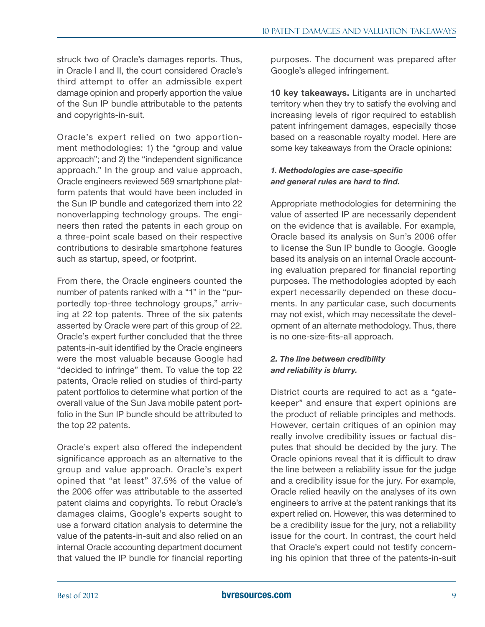struck two of Oracle's damages reports. Thus, in Oracle I and II, the court considered Oracle's third attempt to offer an admissible expert damage opinion and properly apportion the value of the Sun IP bundle attributable to the patents and copyrights-in-suit.

Oracle's expert relied on two apportionment methodologies: 1) the "group and value approach"; and 2) the "independent significance approach." In the group and value approach, Oracle engineers reviewed 569 smartphone platform patents that would have been included in the Sun IP bundle and categorized them into 22 nonoverlapping technology groups. The engineers then rated the patents in each group on a three-point scale based on their respective contributions to desirable smartphone features such as startup, speed, or footprint.

From there, the Oracle engineers counted the number of patents ranked with a "1" in the "purportedly top-three technology groups," arriving at 22 top patents. Three of the six patents asserted by Oracle were part of this group of 22. Oracle's expert further concluded that the three patents-in-suit identified by the Oracle engineers were the most valuable because Google had "decided to infringe" them. To value the top 22 patents, Oracle relied on studies of third-party patent portfolios to determine what portion of the overall value of the Sun Java mobile patent portfolio in the Sun IP bundle should be attributed to the top 22 patents.

Oracle's expert also offered the independent significance approach as an alternative to the group and value approach. Oracle's expert opined that "at least" 37.5% of the value of the 2006 offer was attributable to the asserted patent claims and copyrights. To rebut Oracle's damages claims, Google's experts sought to use a forward citation analysis to determine the value of the patents-in-suit and also relied on an internal Oracle accounting department document that valued the IP bundle for financial reporting

purposes. The document was prepared after Google's alleged infringement.

10 key takeaways. Litigants are in uncharted territory when they try to satisfy the evolving and increasing levels of rigor required to establish patent infringement damages, especially those based on a reasonable royalty model. Here are some key takeaways from the Oracle opinions:

#### *1. Methodologies are case-specific and general rules are hard to find.*

Appropriate methodologies for determining the value of asserted IP are necessarily dependent on the evidence that is available. For example, Oracle based its analysis on Sun's 2006 offer to license the Sun IP bundle to Google. Google based its analysis on an internal Oracle accounting evaluation prepared for financial reporting purposes. The methodologies adopted by each expert necessarily depended on these documents. In any particular case, such documents may not exist, which may necessitate the development of an alternate methodology. Thus, there is no one-size-fits-all approach.

#### *2. The line between credibility and reliability is blurry.*

District courts are required to act as a "gatekeeper" and ensure that expert opinions are the product of reliable principles and methods. However, certain critiques of an opinion may really involve credibility issues or factual disputes that should be decided by the jury. The Oracle opinions reveal that it is difficult to draw the line between a reliability issue for the judge and a credibility issue for the jury. For example, Oracle relied heavily on the analyses of its own engineers to arrive at the patent rankings that its expert relied on. However, this was determined to be a credibility issue for the jury, not a reliability issue for the court. In contrast, the court held that Oracle's expert could not testify concerning his opinion that three of the patents-in-suit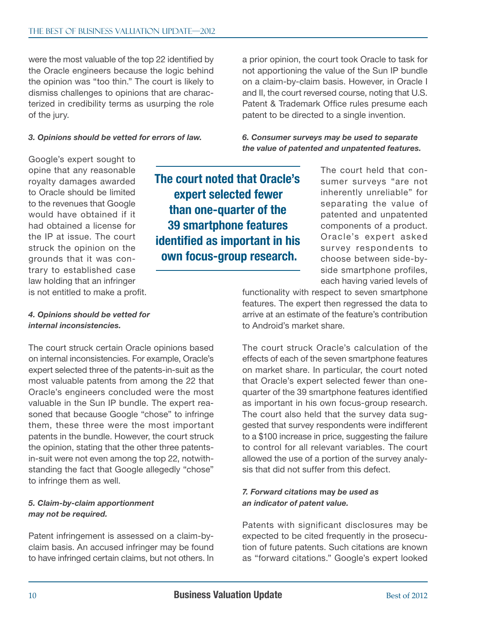were the most valuable of the top 22 identified by the Oracle engineers because the logic behind the opinion was "too thin." The court is likely to dismiss challenges to opinions that are characterized in credibility terms as usurping the role of the jury.

*3. Opinions should be vetted for errors of law.*

a prior opinion, the court took Oracle to task for not apportioning the value of the Sun IP bundle on a claim-by-claim basis. However, in Oracle I and II, the court reversed course, noting that U.S. Patent & Trademark Office rules presume each patent to be directed to a single invention.

*6. Consumer surveys may be used to separate the value of patented and unpatented features.*

Google's expert sought to opine that any reasonable royalty damages awarded to Oracle should be limited to the revenues that Google would have obtained if it had obtained a license for the IP at issue. The court struck the opinion on the grounds that it was contrary to established case law holding that an infringer is not entitled to make a profit.

The court noted that Oracle's expert selected fewer than one-quarter of the 39 smartphone features identified as important in his own focus-group research.

The court held that consumer surveys "are not inherently unreliable" for separating the value of patented and unpatented components of a product. Oracle's expert asked survey respondents to choose between side-byside smartphone profiles, each having varied levels of

functionality with respect to seven smartphone features. The expert then regressed the data to arrive at an estimate of the feature's contribution to Android's market share.

#### *4. Opinions should be vetted for internal inconsistencies.*

The court struck certain Oracle opinions based on internal inconsistencies. For example, Oracle's expert selected three of the patents-in-suit as the most valuable patents from among the 22 that Oracle's engineers concluded were the most valuable in the Sun IP bundle. The expert reasoned that because Google "chose" to infringe them, these three were the most important patents in the bundle. However, the court struck the opinion, stating that the other three patentsin-suit were not even among the top 22, notwithstanding the fact that Google allegedly "chose" to infringe them as well.

#### *5. Claim-by-claim apportionment may not be required.*

Patent infringement is assessed on a claim-byclaim basis. An accused infringer may be found to have infringed certain claims, but not others. In The court struck Oracle's calculation of the effects of each of the seven smartphone features on market share. In particular, the court noted that Oracle's expert selected fewer than onequarter of the 39 smartphone features identified as important in his own focus-group research. The court also held that the survey data suggested that survey respondents were indifferent to a \$100 increase in price, suggesting the failure to control for all relevant variables. The court allowed the use of a portion of the survey analysis that did not suffer from this defect.

#### *7. Forward citations* may *be used as an indicator of patent value.*

Patents with significant disclosures may be expected to be cited frequently in the prosecution of future patents. Such citations are known as "forward citations." Google's expert looked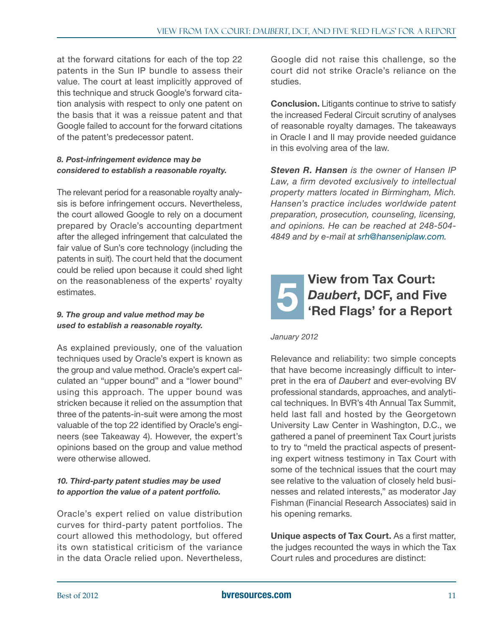<span id="page-10-0"></span>at the forward citations for each of the top 22 patents in the Sun IP bundle to assess their value. The court at least implicitly approved of this technique and struck Google's forward citation analysis with respect to only one patent on the basis that it was a reissue patent and that Google failed to account for the forward citations of the patent's predecessor patent.

#### *8. Post-infringement evidence* may *be considered to establish a reasonable royalty.*

The relevant period for a reasonable royalty analysis is before infringement occurs. Nevertheless, the court allowed Google to rely on a document prepared by Oracle's accounting department after the alleged infringement that calculated the fair value of Sun's core technology (including the patents in suit). The court held that the document could be relied upon because it could shed light on the reasonableness of the experts' royalty estimates.

#### *9. The group and value method may be used to establish a reasonable royalty.*

As explained previously, one of the valuation techniques used by Oracle's expert is known as the group and value method. Oracle's expert calculated an "upper bound" and a "lower bound" using this approach. The upper bound was stricken because it relied on the assumption that three of the patents-in-suit were among the most valuable of the top 22 identified by Oracle's engineers (see Takeaway 4). However, the expert's opinions based on the group and value method were otherwise allowed.

#### *10. Third-party patent studies may be used to apportion the value of a patent portfolio.*

Oracle's expert relied on value distribution curves for third-party patent portfolios. The court allowed this methodology, but offered its own statistical criticism of the variance in the data Oracle relied upon. Nevertheless,

Google did not raise this challenge, so the court did not strike Oracle's reliance on the studies.

Conclusion. Litigants continue to strive to satisfy the increased Federal Circuit scrutiny of analyses of reasonable royalty damages. The takeaways in Oracle I and II may provide needed guidance in this evolving area of the law.

*Steven R. Hansen is the owner of Hansen IP Law, a firm devoted exclusively to intellectual property matters located in Birmingham, Mich. Hansen's practice includes worldwide patent preparation, prosecution, counseling, licensing, and opinions. He can be reached at 248-504- 4849 and by e-mail at [srh@hanseniplaw.com](mailto:srh@hanseniplaw.com).*

#### View from Tax Court: *Daubert*, DCF, and Five 'Red Flags' for a Report 5

*January 2012*

Relevance and reliability: two simple concepts that have become increasingly difficult to interpret in the era of *Daubert* and ever-evolving BV professional standards, approaches, and analytical techniques. In BVR's 4th Annual Tax Summit, held last fall and hosted by the Georgetown University Law Center in Washington, D.C., we gathered a panel of preeminent Tax Court jurists to try to "meld the practical aspects of presenting expert witness testimony in Tax Court with some of the technical issues that the court may see relative to the valuation of closely held businesses and related interests," as moderator Jay Fishman (Financial Research Associates) said in his opening remarks.

Unique aspects of Tax Court. As a first matter, the judges recounted the ways in which the Tax Court rules and procedures are distinct: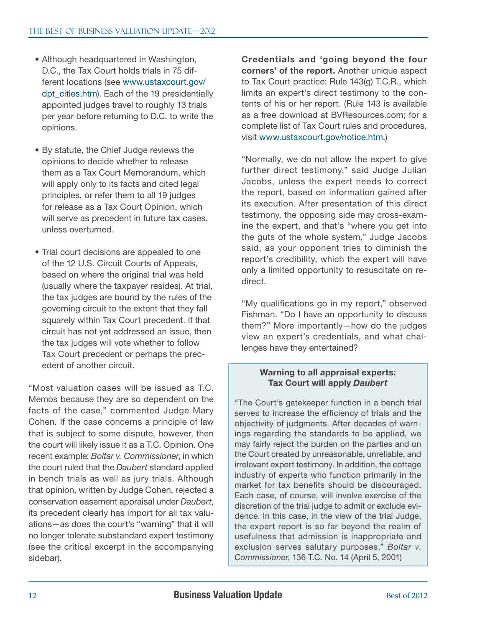- Although headquartered in Washington, D.C., the Tax Court holds trials in 75 different locations (see [www.ustaxcourt.gov/](http://www.ustaxcourt.gov/dpt_cities.htm) [dpt\\_cities.htm](http://www.ustaxcourt.gov/dpt_cities.htm)). Each of the 19 presidentially appointed judges travel to roughly 13 trials per year before returning to D.C. to write the opinions.
- By statute, the Chief Judge reviews the opinions to decide whether to release them as a Tax Court Memorandum, which will apply only to its facts and cited legal principles, or refer them to all 19 judges for release as a Tax Court Opinion, which will serve as precedent in future tax cases, unless overturned.
- Trial court decisions are appealed to one of the 12 U.S. Circuit Courts of Appeals, based on where the original trial was held (usually where the taxpayer resides). At trial, the tax judges are bound by the rules of the governing circuit to the extent that they fall squarely within Tax Court precedent. If that circuit has not yet addressed an issue, then the tax judges will vote whether to follow Tax Court precedent or perhaps the precedent of another circuit.

"Most valuation cases will be issued as T.C. Memos because they are so dependent on the facts of the case," commented Judge Mary Cohen. If the case concerns a principle of law that is subject to some dispute, however, then the court will likely issue it as a T.C. Opinion. One recent example: *Boltar v. Commissioner*, in which the court ruled that the *Daubert* standard applied in bench trials as well as jury trials. Although that opinion, written by Judge Cohen, rejected a conservation easement appraisal under *Daubert*, its precedent clearly has import for all tax valuations—as does the court's "warning" that it will no longer tolerate substandard expert testimony (see the critical excerpt in the accompanying sidebar).

Credentials and 'going beyond the four corners' of the report. Another unique aspect to Tax Court practice: Rule 143(g) T.C.R., which limits an expert's direct testimony to the contents of his or her report. (Rule 143 is available as a free download at BVResources.com; for a complete list of Tax Court rules and procedures, visit [www.ustaxcourt.gov/notice.htm.](http://www.ustaxcourt.gov/notice.htm))

"Normally, we do not allow the expert to give further direct testimony," said Judge Julian Jacobs, unless the expert needs to correct the report, based on information gained after its execution. After presentation of this direct testimony, the opposing side may cross-examine the expert, and that's "where you get into the guts of the whole system," Judge Jacobs said, as your opponent tries to diminish the report's credibility, which the expert will have only a limited opportunity to resuscitate on redirect.

"My qualifications go in my report," observed Fishman. "Do I have an opportunity to discuss them?" More importantly—how do the judges view an expert's credentials, and what challenges have they entertained?

#### Warning to all appraisal experts: Tax Court will apply *Daubert*

"The Court's gatekeeper function in a bench trial serves to increase the efficiency of trials and the objectivity of judgments. After decades of warnings regarding the standards to be applied, we may fairly reject the burden on the parties and on the Court created by unreasonable, unreliable, and irrelevant expert testimony. In addition, the cottage industry of experts who function primarily in the market for tax benefits should be discouraged. Each case, of course, will involve exercise of the discretion of the trial judge to admit or exclude evidence. In this case, in the view of the trial Judge, the expert report is so far beyond the realm of usefulness that admission is inappropriate and exclusion serves salutary purposes." *Boltar v. Commissioner*, 136 T.C. No. 14 (April 5, 2001)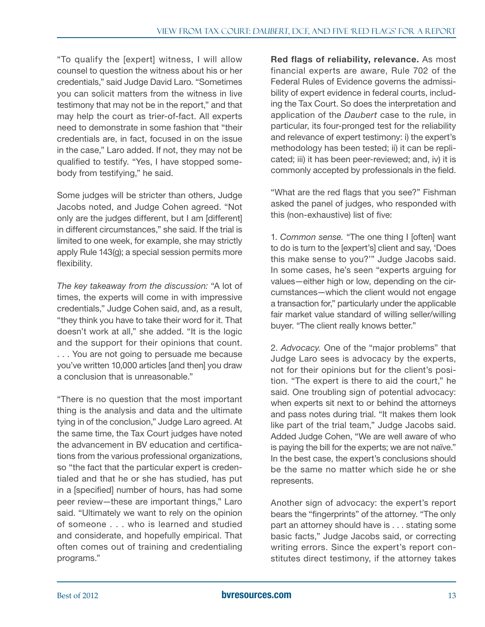"To qualify the [expert] witness, I will allow counsel to question the witness about his or her credentials," said Judge David Laro. "Sometimes you can solicit matters from the witness in live testimony that may not be in the report," and that may help the court as trier-of-fact. All experts need to demonstrate in some fashion that "their credentials are, in fact, focused in on the issue in the case," Laro added. If not, they may not be qualified to testify. "Yes, I have stopped somebody from testifying," he said.

Some judges will be stricter than others, Judge Jacobs noted, and Judge Cohen agreed. "Not only are the judges different, but I am [different] in different circumstances," she said. If the trial is limited to one week, for example, she may strictly apply Rule 143(g); a special session permits more flexibility.

*The key takeaway from the discussion:* "A lot of times, the experts will come in with impressive credentials," Judge Cohen said, and, as a result, "they think you have to take their word for it. That doesn't work at all," she added. "It is the logic and the support for their opinions that count. ... You are not going to persuade me because you've written 10,000 articles [and then] you draw a conclusion that is unreasonable."

"There is no question that the most important thing is the analysis and data and the ultimate tying in of the conclusion," Judge Laro agreed. At the same time, the Tax Court judges have noted the advancement in BV education and certifications from the various professional organizations, so "the fact that the particular expert is credentialed and that he or she has studied, has put in a [specified] number of hours, has had some peer review—these are important things," Laro said. "Ultimately we want to rely on the opinion of someone ... who is learned and studied and considerate, and hopefully empirical. That often comes out of training and credentialing programs."

Red flags of reliability, relevance. As most financial experts are aware, Rule 702 of the Federal Rules of Evidence governs the admissibility of expert evidence in federal courts, including the Tax Court. So does the interpretation and application of the *Daubert* case to the rule, in particular, its four-pronged test for the reliability and relevance of expert testimony: i) the expert's methodology has been tested; ii) it can be replicated; iii) it has been peer-reviewed; and, iv) it is commonly accepted by professionals in the field.

"What are the red flags that you see?" Fishman asked the panel of judges, who responded with this (non-exhaustive) list of five:

1. *Common sense.* "The one thing I [often] want to do is turn to the [expert's] client and say, 'Does this make sense to you?'" Judge Jacobs said. In some cases, he's seen "experts arguing for values—either high or low, depending on the circumstances—which the client would not engage a transaction for," particularly under the applicable fair market value standard of willing seller/willing buyer. "The client really knows better."

2. *Advocacy.* One of the "major problems" that Judge Laro sees is advocacy by the experts, not for their opinions but for the client's position. "The expert is there to aid the court," he said. One troubling sign of potential advocacy: when experts sit next to or behind the attorneys and pass notes during trial. "It makes them look like part of the trial team," Judge Jacobs said. Added Judge Cohen, "We are well aware of who is paying the bill for the experts; we are not naïve." In the best case, the expert's conclusions should be the same no matter which side he or she represents.

Another sign of advocacy: the expert's report bears the "fingerprints" of the attorney. "The only part an attorney should have is ... stating some basic facts," Judge Jacobs said, or correcting writing errors. Since the expert's report constitutes direct testimony, if the attorney takes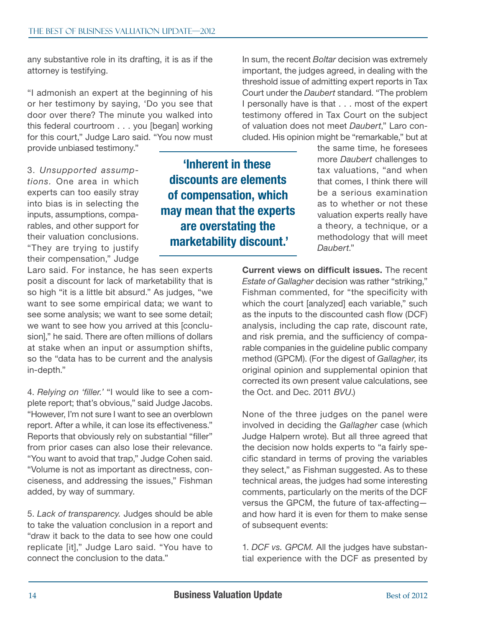any substantive role in its drafting, it is as if the attorney is testifying.

"I admonish an expert at the beginning of his or her testimony by saying, 'Do you see that door over there? The minute you walked into this federal courtroom ... you [began] working for this court," Judge Laro said. "You now must provide unbiased testimony."

3. *Unsupported assumptions.* One area in which experts can too easily stray into bias is in selecting the inputs, assumptions, comparables, and other support for their valuation conclusions. "They are trying to justify their compensation," Judge

Laro said. For instance, he has seen experts posit a discount for lack of marketability that is so high "it is a little bit absurd." As judges, "we want to see some empirical data; we want to see some analysis; we want to see some detail; we want to see how you arrived at this [conclusion]," he said. There are often millions of dollars at stake when an input or assumption shifts, so the "data has to be current and the analysis in-depth."

4. *Relying on 'filler.'* "I would like to see a complete report; that's obvious," said Judge Jacobs. "However, I'm not sure I want to see an overblown report. After a while, it can lose its effectiveness." Reports that obviously rely on substantial "filler" from prior cases can also lose their relevance. "You want to avoid that trap," Judge Cohen said. "Volume is not as important as directness, conciseness, and addressing the issues," Fishman added, by way of summary.

5. *Lack of transparency.* Judges should be able to take the valuation conclusion in a report and "draw it back to the data to see how one could replicate [it]," Judge Laro said. "You have to connect the conclusion to the data."

'Inherent in these discounts are elements of compensation, which may mean that the experts are overstating the marketability discount.'

In sum, the recent *Boltar* decision was extremely important, the judges agreed, in dealing with the threshold issue of admitting expert reports in Tax Court under the *Daubert* standard. "The problem I personally have is that ... most of the expert testimony offered in Tax Court on the subject of valuation does not meet *Daubert*," Laro concluded. His opinion might be "remarkable," but at

> the same time, he foresees more *Daubert* challenges to tax valuations, "and when that comes, I think there will be a serious examination as to whether or not these valuation experts really have a theory, a technique, or a methodology that will meet *Daubert*."

Current views on difficult issues. The recent *Estate of Gallagher* decision was rather "striking," Fishman commented, for "the specificity with which the court [analyzed] each variable," such as the inputs to the discounted cash flow (DCF) analysis, including the cap rate, discount rate, and risk premia, and the sufficiency of comparable companies in the guideline public company method (GPCM). (For the digest of *Gallagher*, its original opinion and supplemental opinion that corrected its own present value calculations, see the Oct. and Dec. 2011 *BVU*.)

None of the three judges on the panel were involved in deciding the *Gallagher* case (which Judge Halpern wrote). But all three agreed that the decision now holds experts to "a fairly specific standard in terms of proving the variables they select," as Fishman suggested. As to these technical areas, the judges had some interesting comments, particularly on the merits of the DCF versus the GPCM, the future of tax-affecting and how hard it is even for them to make sense of subsequent events:

1. *DCF vs. GPCM.* All the judges have substantial experience with the DCF as presented by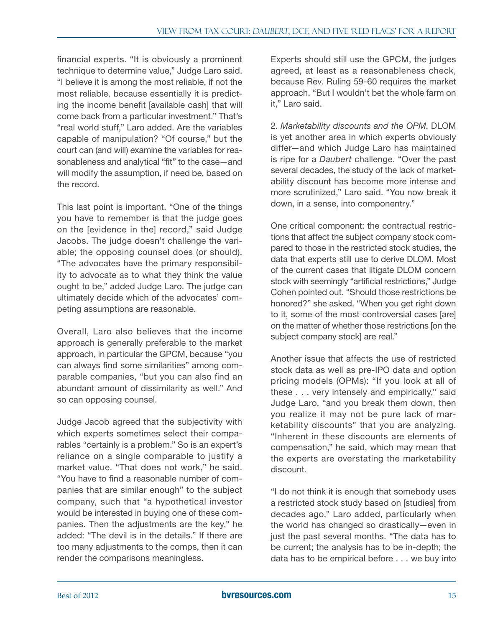financial experts. "It is obviously a prominent technique to determine value," Judge Laro said. "I believe it is among the most reliable, if not the most reliable, because essentially it is predicting the income benefit [available cash] that will come back from a particular investment." That's "real world stuff," Laro added. Are the variables capable of manipulation? "Of course," but the court can (and will) examine the variables for reasonableness and analytical "fit" to the case—and will modify the assumption, if need be, based on the record.

This last point is important. "One of the things you have to remember is that the judge goes on the [evidence in the] record," said Judge Jacobs. The judge doesn't challenge the variable; the opposing counsel does (or should). "The advocates have the primary responsibility to advocate as to what they think the value ought to be," added Judge Laro. The judge can ultimately decide which of the advocates' competing assumptions are reasonable.

Overall, Laro also believes that the income approach is generally preferable to the market approach, in particular the GPCM, because "you can always find some similarities" among comparable companies, "but you can also find an abundant amount of dissimilarity as well." And so can opposing counsel.

Judge Jacob agreed that the subjectivity with which experts sometimes select their comparables "certainly is a problem." So is an expert's reliance on a single comparable to justify a market value. "That does not work," he said. "You have to find a reasonable number of companies that are similar enough" to the subject company, such that "a hypothetical investor would be interested in buying one of these companies. Then the adjustments are the key," he added: "The devil is in the details." If there are too many adjustments to the comps, then it can render the comparisons meaningless.

Experts should still use the GPCM, the judges agreed, at least as a reasonableness check, because Rev. Ruling 59-60 requires the market approach. "But I wouldn't bet the whole farm on it," Laro said.

2. *Marketability discounts and the OPM*. DLOM is yet another area in which experts obviously differ—and which Judge Laro has maintained is ripe for a *Daubert* challenge. "Over the past several decades, the study of the lack of marketability discount has become more intense and more scrutinized," Laro said. "You now break it down, in a sense, into componentry."

One critical component: the contractual restrictions that affect the subject company stock compared to those in the restricted stock studies, the data that experts still use to derive DLOM. Most of the current cases that litigate DLOM concern stock with seemingly "artificial restrictions," Judge Cohen pointed out. "Should those restrictions be honored?" she asked. "When you get right down to it, some of the most controversial cases [are] on the matter of whether those restrictions [on the subject company stock] are real."

Another issue that affects the use of restricted stock data as well as pre-IPO data and option pricing models (OPMs): "If you look at all of these ... very intensely and empirically," said Judge Laro, "and you break them down, then you realize it may not be pure lack of marketability discounts" that you are analyzing. "Inherent in these discounts are elements of compensation," he said, which may mean that the experts are overstating the marketability discount.

"I do not think it is enough that somebody uses a restricted stock study based on [studies] from decades ago," Laro added, particularly when the world has changed so drastically—even in just the past several months. "The data has to be current; the analysis has to be in-depth; the data has to be empirical before ... we buy into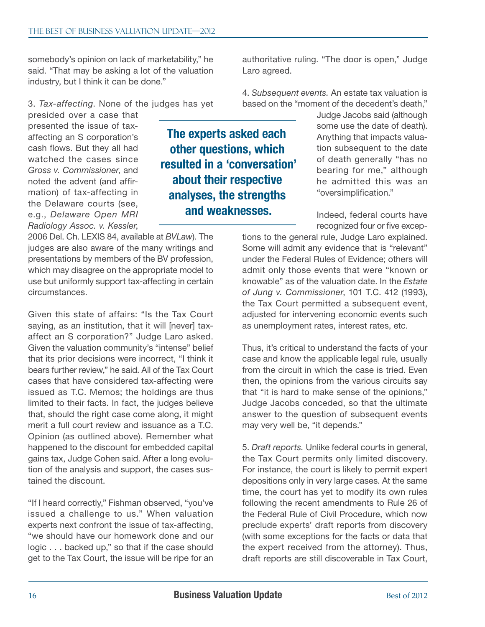somebody's opinion on lack of marketability," he said. "That may be asking a lot of the valuation industry, but I think it can be done."

3. *Tax-affecting*. None of the judges has yet

presided over a case that presented the issue of taxaffecting an S corporation's cash flows. But they all had watched the cases since *Gross v. Commissioner*, and noted the advent (and affirmation) of tax-affecting in the Delaware courts (see, e.g., *Delaware Open MRI Radiology Assoc. v. Kessler*,

2006 Del. Ch. LEXIS 84, available at *BVLaw*). The judges are also aware of the many writings and presentations by members of the BV profession, which may disagree on the appropriate model to use but uniformly support tax-affecting in certain circumstances.

Given this state of affairs: "Is the Tax Court saying, as an institution, that it will [never] taxaffect an S corporation?" Judge Laro asked. Given the valuation community's "intense" belief that its prior decisions were incorrect, "I think it bears further review," he said. All of the Tax Court cases that have considered tax-affecting were issued as T.C. Memos; the holdings are thus limited to their facts. In fact, the judges believe that, should the right case come along, it might merit a full court review and issuance as a T.C. Opinion (as outlined above). Remember what happened to the discount for embedded capital gains tax, Judge Cohen said. After a long evolution of the analysis and support, the cases sustained the discount.

"If I heard correctly," Fishman observed, "you've issued a challenge to us." When valuation experts next confront the issue of tax-affecting, "we should have our homework done and our logic ... backed up," so that if the case should get to the Tax Court, the issue will be ripe for an authoritative ruling. "The door is open," Judge Laro agreed.

4. *Subsequent events.* An estate tax valuation is based on the "moment of the decedent's death,"

> Judge Jacobs said (although some use the date of death). Anything that impacts valuation subsequent to the date of death generally "has no bearing for me," although he admitted this was an "oversimplification."

Indeed, federal courts have recognized four or five excep-

tions to the general rule, Judge Laro explained. Some will admit any evidence that is "relevant" under the Federal Rules of Evidence; others will admit only those events that were "known or knowable" as of the valuation date. In the *Estate of Jung v. Commissioner*, 101 T.C. 412 (1993), the Tax Court permitted a subsequent event, adjusted for intervening economic events such as unemployment rates, interest rates, etc.

Thus, it's critical to understand the facts of your case and know the applicable legal rule, usually from the circuit in which the case is tried. Even then, the opinions from the various circuits say that "it is hard to make sense of the opinions," Judge Jacobs conceded, so that the ultimate answer to the question of subsequent events may very well be, "it depends."

5. *Draft reports.* Unlike federal courts in general, the Tax Court permits only limited discovery. For instance, the court is likely to permit expert depositions only in very large cases. At the same time, the court has yet to modify its own rules following the recent amendments to Rule 26 of the Federal Rule of Civil Procedure, which now preclude experts' draft reports from discovery (with some exceptions for the facts or data that the expert received from the attorney). Thus, draft reports are still discoverable in Tax Court,

The experts asked each other questions, which resulted in a 'conversation'

about their respective

analyses, the strengths and weaknesses.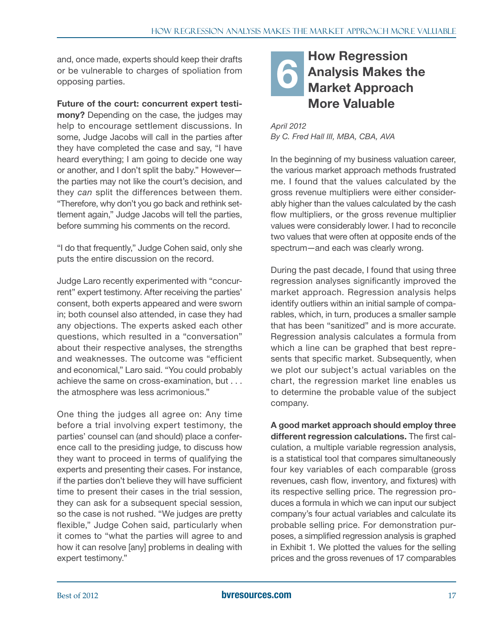<span id="page-16-0"></span>and, once made, experts should keep their drafts<br>or be vulnerable to charges of spoliation from<br>opposing parties. or be vulnerable to charges of spoliation from opposing parties.

Future of the court: concurrent expert testimony? Depending on the case, the judges may help to encourage settlement discussions. In some, Judge Jacobs will call in the parties after they have completed the case and say, "I have heard everything; I am going to decide one way or another, and I don't split the baby." However the parties may not like the court's decision, and they *can* split the differences between them. "Therefore, why don't you go back and rethink settlement again," Judge Jacobs will tell the parties, before summing his comments on the record.

"I do that frequently," Judge Cohen said, only she puts the entire discussion on the record.

Judge Laro recently experimented with "concurrent" expert testimony. After receiving the parties' consent, both experts appeared and were sworn in; both counsel also attended, in case they had any objections. The experts asked each other questions, which resulted in a "conversation" about their respective analyses, the strengths and weaknesses. The outcome was "efficient and economical," Laro said. "You could probably achieve the same on cross-examination, but ... the atmosphere was less acrimonious."

One thing the judges all agree on: Any time before a trial involving expert testimony, the parties' counsel can (and should) place a conference call to the presiding judge, to discuss how they want to proceed in terms of qualifying the experts and presenting their cases. For instance, if the parties don't believe they will have sufficient time to present their cases in the trial session, they can ask for a subsequent special session, so the case is not rushed. "We judges are pretty flexible," Judge Cohen said, particularly when it comes to "what the parties will agree to and how it can resolve [any] problems in dealing with expert testimony."

## How Regression Analysis Makes the Market Approach More Valuable

*April 2012 By C. Fred Hall III, MBA, CBA, AVA*

In the beginning of my business valuation career, the various market approach methods frustrated me. I found that the values calculated by the gross revenue multipliers were either considerably higher than the values calculated by the cash flow multipliers, or the gross revenue multiplier values were considerably lower. I had to reconcile two values that were often at opposite ends of the spectrum—and each was clearly wrong.

During the past decade, I found that using three regression analyses significantly improved the market approach. Regression analysis helps identify outliers within an initial sample of comparables, which, in turn, produces a smaller sample that has been "sanitized" and is more accurate. Regression analysis calculates a formula from which a line can be graphed that best represents that specific market. Subsequently, when we plot our subject's actual variables on the chart, the regression market line enables us to determine the probable value of the subject company.

A good market approach should employ three different regression calculations. The first calculation, a multiple variable regression analysis, is a statistical tool that compares simultaneously four key variables of each comparable (gross revenues, cash flow, inventory, and fixtures) with its respective selling price. The regression produces a formula in which we can input our subject company's four actual variables and calculate its probable selling price. For demonstration purposes, a simplified regression analysis is graphed in Exhibit 1. We plotted the values for the selling prices and the gross revenues of 17 comparables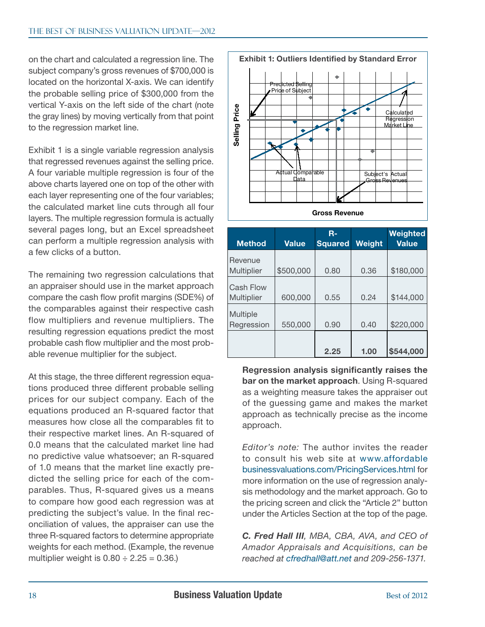on the chart and calculated a regression line. The subject company's gross revenues of \$700,000 is located on the horizontal X-axis. We can identify the probable selling price of \$300,000 from the vertical Y-axis on the left side of the chart (note the gray lines) by moving vertically from that point to the regression market line.

Exhibit 1 is a single variable regression analysis that regressed revenues against the selling price. A four variable multiple regression is four of the above charts layered one on top of the other with each layer representing one of the four variables; the calculated market line cuts through all four layers. The multiple regression formula is actually several pages long, but an Excel spreadsheet can perform a multiple regression analysis with a few clicks of a button.

The remaining two regression calculations that an appraiser should use in the market approach compare the cash flow profit margins (SDE%) of the comparables against their respective cash flow multipliers and revenue multipliers. The resulting regression equations predict the most probable cash flow multiplier and the most probable revenue multiplier for the subject.

At this stage, the three different regression equations produced three different probable selling prices for our subject company. Each of the equations produced an R-squared factor that measures how close all the comparables fit to their respective market lines. An R-squared of 0.0 means that the calculated market line had no predictive value whatsoever; an R-squared of 1.0 means that the market line exactly predicted the selling price for each of the comparables. Thus, R-squared gives us a means to compare how good each regression was at predicting the subject's value. In the final reconciliation of values, the appraiser can use the three R-squared factors to determine appropriate weights for each method. (Example, the revenue multiplier weight is  $0.80 \div 2.25 = 0.36$ .



| <b>Method</b>          | <b>Value</b> | $R -$<br><b>Squared</b> | Weight | Weighted<br><b>Value</b> |
|------------------------|--------------|-------------------------|--------|--------------------------|
| Revenue<br>Multiplier  | \$500,000    | 0.80                    | 0.36   | \$180,000                |
| <b>Cash Flow</b>       |              |                         |        |                          |
| Multiplier<br>Multiple | 600,000      | 0.55                    | 0.24   | \$144,000                |
| Regression             | 550,000      | 0.90                    | 0.40   | \$220,000                |
|                        |              | 2.25                    | 1.00   | \$544,000                |

Regression analysis significantly raises the bar on the market approach. Using R-squared as a weighting measure takes the appraiser out of the guessing game and makes the market approach as technically precise as the income approach.

*Editor's note:* The author invites the reader to consult his web site at [www.affordable](http://www.affordablebusinessvaluations.com/PricingServices.html) [businessvaluations.com/PricingServices.html](http://www.affordablebusinessvaluations.com/PricingServices.html) for more information on the use of regression analysis methodology and the market approach. Go to the pricing screen and click the "Article 2" button under the Articles Section at the top of the page.

*C. Fred Hall III, MBA, CBA, AVA, and CEO of Amador Appraisals and Acquisitions, can be reached at cfredhall@att.net and 209-256-1371.*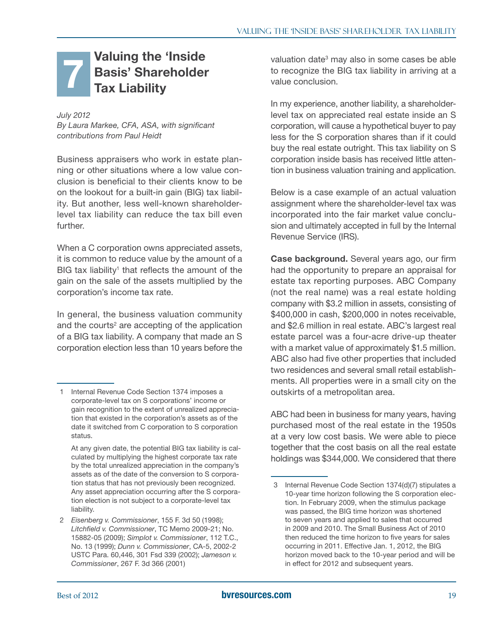#### <span id="page-18-0"></span>Valuing the 'Inside Basis' Shareholder Tax Liability 7

#### *July 2012*

*By Laura Markee, CFA, ASA, with significant contributions from Paul Heidt*

Business appraisers who work in estate planning or other situations where a low value conclusion is beneficial to their clients know to be on the lookout for a built-in gain (BIG) tax liability. But another, less well-known shareholderlevel tax liability can reduce the tax bill even further.

When a C corporation owns appreciated assets, it is common to reduce value by the amount of a BIG tax liability<sup>1</sup> that reflects the amount of the gain on the sale of the assets multiplied by the corporation's income tax rate.

In general, the business valuation community and the courts<sup>2</sup> are accepting of the application of a BIG tax liability. A company that made an S corporation election less than 10 years before the

At any given date, the potential BIG tax liability is calculated by multiplying the highest corporate tax rate by the total unrealized appreciation in the company's assets as of the date of the conversion to S corporation status that has not previously been recognized. Any asset appreciation occurring after the S corporation election is not subject to a corporate-level tax liability.

valuation date<sup>3</sup> may also in some cases be able to recognize the BIG tax liability in arriving at a value conclusion.

In my experience, another liability, a shareholderlevel tax on appreciated real estate inside an S corporation, will cause a hypothetical buyer to pay less for the S corporation shares than if it could buy the real estate outright. This tax liability on S corporation inside basis has received little attention in business valuation training and application.

Below is a case example of an actual valuation assignment where the shareholder-level tax was incorporated into the fair market value conclusion and ultimately accepted in full by the Internal Revenue Service (IRS).

Case background. Several years ago, our firm had the opportunity to prepare an appraisal for estate tax reporting purposes. ABC Company (not the real name) was a real estate holding company with \$3.2 million in assets, consisting of \$400,000 in cash, \$200,000 in notes receivable, and \$2.6 million in real estate. ABC's largest real estate parcel was a four-acre drive-up theater with a market value of approximately \$1.5 million. ABC also had five other properties that included two residences and several small retail establishments. All properties were in a small city on the outskirts of a metropolitan area.

ABC had been in business for many years, having purchased most of the real estate in the 1950s at a very low cost basis. We were able to piece together that the cost basis on all the real estate holdings was \$344,000. We considered that there

<sup>1</sup> Internal Revenue Code Section 1374 imposes a corporate-level tax on S corporations' income or gain recognition to the extent of unrealized appreciation that existed in the corporation's assets as of the date it switched from C corporation to S corporation status.

<sup>2</sup> *Eisenberg v. Commissioner*, 155 F. 3d 50 (1998); *Litchfield v. Commissioner*, TC Memo 2009-21; No. 15882-05 (2009); *Simplot v. Commissioner*, 112 T.C., No. 13 (1999); *Dunn v. Commissioner*, CA-5, 2002-2 USTC Para. 60,446, 301 Fsd 339 (2002); *Jameson v. Commissioner*, 267 F. 3d 366 (2001)

<sup>3</sup> Internal Revenue Code Section 1374(d)(7) stipulates a 10-year time horizon following the S corporation election. In February 2009, when the stimulus package was passed, the BIG time horizon was shortened to seven years and applied to sales that occurred in 2009 and 2010. The Small Business Act of 2010 then reduced the time horizon to five years for sales occurring in 2011. Effective Jan. 1, 2012, the BIG horizon moved back to the 10-year period and will be in effect for 2012 and subsequent years.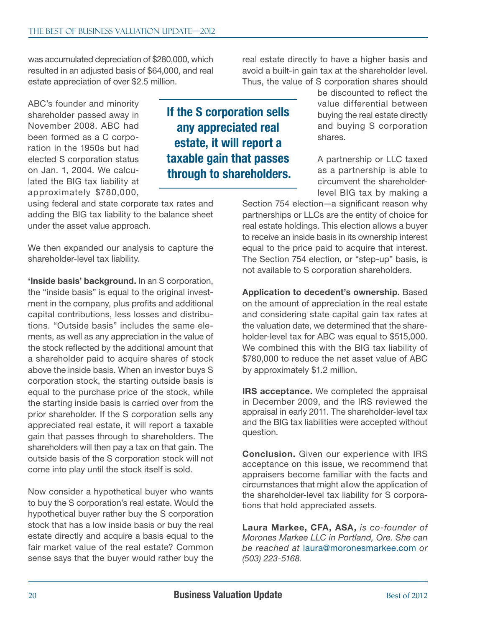was accumulated depreciation of \$280,000, which resulted in an adjusted basis of \$64,000, and real estate appreciation of over \$2.5 million.

ABC's founder and minority shareholder passed away in November 2008. ABC had been formed as a C corporation in the 1950s but had elected S corporation status on Jan. 1, 2004. We calculated the BIG tax liability at approximately \$780,000,

using federal and state corporate tax rates and adding the BIG tax liability to the balance sheet under the asset value approach.

We then expanded our analysis to capture the shareholder-level tax liability.

'Inside basis' background. In an S corporation, the "inside basis" is equal to the original investment in the company, plus profits and additional capital contributions, less losses and distributions. "Outside basis" includes the same elements, as well as any appreciation in the value of the stock reflected by the additional amount that a shareholder paid to acquire shares of stock above the inside basis. When an investor buys S corporation stock, the starting outside basis is equal to the purchase price of the stock, while the starting inside basis is carried over from the prior shareholder. If the S corporation sells any appreciated real estate, it will report a taxable gain that passes through to shareholders. The shareholders will then pay a tax on that gain. The outside basis of the S corporation stock will not come into play until the stock itself is sold.

Now consider a hypothetical buyer who wants to buy the S corporation's real estate. Would the hypothetical buyer rather buy the S corporation stock that has a low inside basis or buy the real estate directly and acquire a basis equal to the fair market value of the real estate? Common sense says that the buyer would rather buy the

If the S corporation sells any appreciated real estate, it will report a taxable gain that passes through to shareholders.

real estate directly to have a higher basis and avoid a built-in gain tax at the shareholder level. Thus, the value of S corporation shares should

> be discounted to reflect the value differential between buying the real estate directly and buying S corporation shares.

> A partnership or LLC taxed as a partnership is able to circumvent the shareholderlevel BIG tax by making a

Section 754 election—a significant reason why partnerships or LLCs are the entity of choice for real estate holdings. This election allows a buyer to receive an inside basis in its ownership interest equal to the price paid to acquire that interest. The Section 754 election, or "step-up" basis, is not available to S corporation shareholders.

Application to decedent's ownership. Based on the amount of appreciation in the real estate and considering state capital gain tax rates at the valuation date, we determined that the shareholder-level tax for ABC was equal to \$515,000. We combined this with the BIG tax liability of \$780,000 to reduce the net asset value of ABC by approximately \$1.2 million.

IRS acceptance. We completed the appraisal in December 2009, and the IRS reviewed the appraisal in early 2011. The shareholder-level tax and the BIG tax liabilities were accepted without question.

Conclusion. Given our experience with IRS acceptance on this issue, we recommend that appraisers become familiar with the facts and circumstances that might allow the application of the shareholder-level tax liability for S corporations that hold appreciated assets.

Laura Markee, CFA, ASA, *is co-founder of Morones Markee LLC in Portland, Ore. She can be reached at* [laura@moronesmarkee.com](mailto:laura@moronesmarkee.com) *or (503) 223-5168.*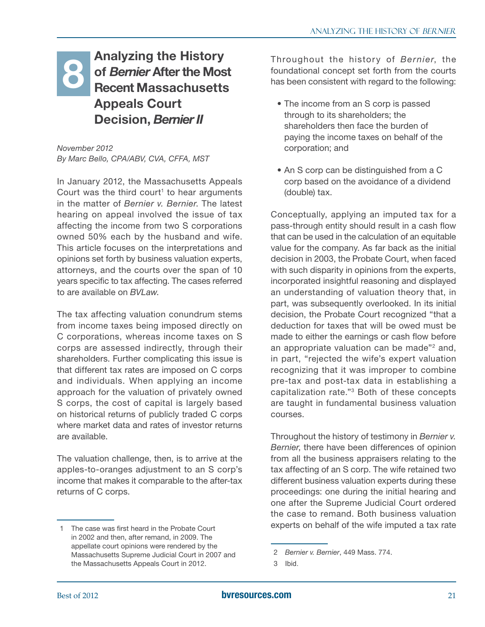### <span id="page-20-0"></span>Analyzing the History of *Bernier* After the Most Recent Massachusetts Appeals Court Decision, *Bernier II* **8 Analyzing the History**<br>**8 Of** *Bernier* **After the Most** foundational concept set forth from the courts<br>**Recent Massachusetts** has been consistent with regard to the following:

*November 2012 By Marc Bello, CPA/ABV, CVA, CFFA, MST*

In January 2012, the Massachusetts Appeals Court was the third court<sup>1</sup> to hear arguments in the matter of *Bernier v. Bernier*. The latest hearing on appeal involved the issue of tax affecting the income from two S corporations owned 50% each by the husband and wife. This article focuses on the interpretations and opinions set forth by business valuation experts, attorneys, and the courts over the span of 10 years specific to tax affecting. The cases referred to are available on *BVLaw*.

The tax affecting valuation conundrum stems from income taxes being imposed directly on C corporations, whereas income taxes on S corps are assessed indirectly, through their shareholders. Further complicating this issue is that different tax rates are imposed on C corps and individuals. When applying an income approach for the valuation of privately owned S corps, the cost of capital is largely based on historical returns of publicly traded C corps where market data and rates of investor returns are available.

The valuation challenge, then, is to arrive at the apples-to-oranges adjustment to an S corp's income that makes it comparable to the after-tax returns of C corps.

foundational concept set forth from the courts has been consistent with regard to the following:

- The income from an S corp is passed through to its shareholders; the shareholders then face the burden of paying the income taxes on behalf of the corporation; and
- An S corp can be distinguished from a C corp based on the avoidance of a dividend (double) tax.

Conceptually, applying an imputed tax for a pass-through entity should result in a cash flow that can be used in the calculation of an equitable value for the company. As far back as the initial decision in 2003, the Probate Court, when faced with such disparity in opinions from the experts, incorporated insightful reasoning and displayed an understanding of valuation theory that, in part, was subsequently overlooked. In its initial decision, the Probate Court recognized "that a deduction for taxes that will be owed must be made to either the earnings or cash flow before an appropriate valuation can be made"<sup>2</sup> and, in part, "rejected the wife's expert valuation recognizing that it was improper to combine pre-tax and post-tax data in establishing a capitalization rate."3 Both of these concepts are taught in fundamental business valuation courses.

Throughout the history of testimony in *Bernier v. Bernier*, there have been differences of opinion from all the business appraisers relating to the tax affecting of an S corp. The wife retained two different business valuation experts during these proceedings: one during the initial hearing and one after the Supreme Judicial Court ordered the case to remand. Both business valuation experts on behalf of the wife imputed a tax rate

<sup>1</sup> The case was first heard in the Probate Court in 2002 and then, after remand, in 2009. The appellate court opinions were rendered by the Massachusetts Supreme Judicial Court in 2007 and the Massachusetts Appeals Court in 2012.

<sup>2</sup> *Bernier v. Bernier*, 449 Mass. 774.

<sup>3</sup> Ibid.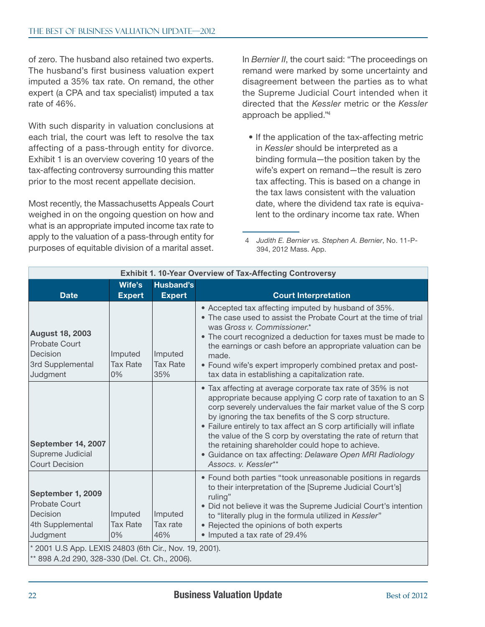of zero. The husband also retained two experts. The husband's first business valuation expert imputed a 35% tax rate. On remand, the other expert (a CPA and tax specialist) imputed a tax rate of 46%.

With such disparity in valuation conclusions at each trial, the court was left to resolve the tax affecting of a pass-through entity for divorce. Exhibit 1 is an overview covering 10 years of the tax-affecting controversy surrounding this matter prior to the most recent appellate decision.

Most recently, the Massachusetts Appeals Court weighed in on the ongoing question on how and what is an appropriate imputed income tax rate to apply to the valuation of a pass-through entity for purposes of equitable division of a marital asset.

In *Bernier II*, the court said: "The proceedings on remand were marked by some uncertainty and disagreement between the parties as to what the Supreme Judicial Court intended when it directed that the *Kessler* metric or the *Kessler* approach be applied."4

• If the application of the tax-affecting metric in *Kessler* should be interpreted as a binding formula—the position taken by the wife's expert on remand—the result is zero tax affecting. This is based on a change in the tax laws consistent with the valuation date, where the dividend tax rate is equivalent to the ordinary income tax rate. When

<sup>4</sup> *Judith E. Bernier vs. Stephen A. Bernier*, No. 11-P-394, 2012 Mass. App.

| <b>Exhibit 1. 10-Year Overview of Tax-Affecting Controversy</b>                                          |                                  |                                   |                                                                                                                                                                                                                                                                                                                                                                                                                                                                                                                                         |  |  |  |  |
|----------------------------------------------------------------------------------------------------------|----------------------------------|-----------------------------------|-----------------------------------------------------------------------------------------------------------------------------------------------------------------------------------------------------------------------------------------------------------------------------------------------------------------------------------------------------------------------------------------------------------------------------------------------------------------------------------------------------------------------------------------|--|--|--|--|
| <b>Date</b>                                                                                              | Wife's<br><b>Expert</b>          | <b>Husband's</b><br><b>Expert</b> | <b>Court Interpretation</b>                                                                                                                                                                                                                                                                                                                                                                                                                                                                                                             |  |  |  |  |
| <b>August 18, 2003</b><br><b>Probate Court</b><br>Decision<br>3rd Supplemental<br>Judgment               | Imputed<br><b>Tax Rate</b><br>0% | Imputed<br><b>Tax Rate</b><br>35% | • Accepted tax affecting imputed by husband of 35%.<br>• The case used to assist the Probate Court at the time of trial<br>was Gross v. Commissioner.*<br>• The court recognized a deduction for taxes must be made to<br>the earnings or cash before an appropriate valuation can be<br>made.<br>• Found wife's expert improperly combined pretax and post-<br>tax data in establishing a capitalization rate.                                                                                                                         |  |  |  |  |
| September 14, 2007<br>Supreme Judicial<br><b>Court Decision</b>                                          |                                  |                                   | • Tax affecting at average corporate tax rate of 35% is not<br>appropriate because applying C corp rate of taxation to an S<br>corp severely undervalues the fair market value of the S corp<br>by ignoring the tax benefits of the S corp structure.<br>• Failure entirely to tax affect an S corp artificially will inflate<br>the value of the S corp by overstating the rate of return that<br>the retaining shareholder could hope to achieve.<br>· Guidance on tax affecting: Delaware Open MRI Radiology<br>Assocs. v. Kessler** |  |  |  |  |
| September 1, 2009<br><b>Probate Court</b><br>Decision<br>4th Supplemental<br>Judgment                    | Imputed<br><b>Tax Rate</b><br>0% | Imputed<br>Tax rate<br>46%        | • Found both parties "took unreasonable positions in regards<br>to their interpretation of the [Supreme Judicial Court's]<br>ruling"<br>• Did not believe it was the Supreme Judicial Court's intention<br>to "literally plug in the formula utilized in Kessler"<br>• Rejected the opinions of both experts<br>• Imputed a tax rate of 29.4%                                                                                                                                                                                           |  |  |  |  |
| * 2001 U.S App. LEXIS 24803 (6th Cir., Nov. 19, 2001).<br>** 898 A.2d 290, 328-330 (Del. Ct. Ch., 2006). |                                  |                                   |                                                                                                                                                                                                                                                                                                                                                                                                                                                                                                                                         |  |  |  |  |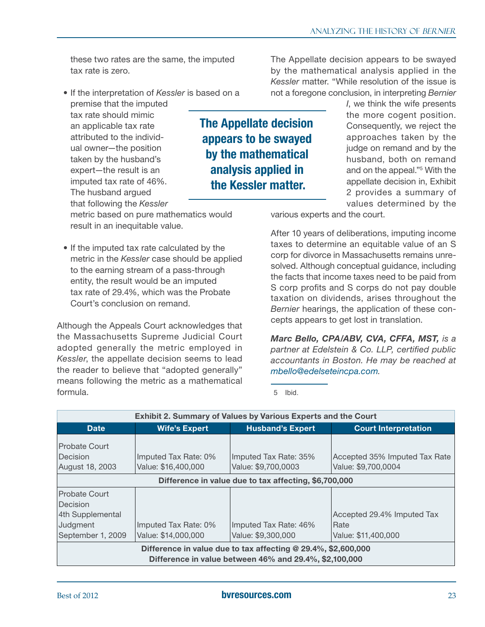these two rates are the same, the imputed tax rate is zero.

• If the interpretation of *Kessler* is based on a premise that the imputed

tax rate should mimic an applicable tax rate attributed to the individual owner—the position taken by the husband's expert—the result is an imputed tax rate of 46%. The husband argued that following the *Kessler*

metric based on pure mathematics would result in an inequitable value.

• If the imputed tax rate calculated by the metric in the *Kessler* case should be applied to the earning stream of a pass-through entity, the result would be an imputed tax rate of 29.4%, which was the Probate Court's conclusion on remand.

Although the Appeals Court acknowledges that the Massachusetts Supreme Judicial Court adopted generally the metric employed in *Kessler*, the appellate decision seems to lead the reader to believe that "adopted generally" means following the metric as a mathematical formula.

The Appellate decision appears to be swayed by the mathematical analysis applied in the *Kessler* matter. "While resolution of the issue is not a foregone conclusion, in interpreting *Bernier* 

The Appellate decision appears to be swayed by the mathematical analysis applied in the Kessler matter.

*I*, we think the wife presents the more cogent position. Consequently, we reject the approaches taken by the judge on remand and by the husband, both on remand and on the appeal."5 With the appellate decision in, Exhibit 2 provides a summary of values determined by the

various experts and the court.

After 10 years of deliberations, imputing income taxes to determine an equitable value of an S corp for divorce in Massachusetts remains unresolved. Although conceptual guidance, including the facts that income taxes need to be paid from S corp profits and S corps do not pay double taxation on dividends, arises throughout the *Bernier* hearings, the application of these concepts appears to get lost in translation.

*Marc Bello, CPA/ABV, CVA, CFFA, MST, is a partner at Edelstein & Co. LLP, certified public accountants in Boston. He may be reached at [mbello@edelseteincpa.com](mailto:mbello@edelseteincpa.com).*

5 Ibid.

| <b>Exhibit 2. Summary of Values by Various Experts and the Court</b>                                                                                                                                                                             |                                             |                                              |                                                      |  |  |  |  |  |
|--------------------------------------------------------------------------------------------------------------------------------------------------------------------------------------------------------------------------------------------------|---------------------------------------------|----------------------------------------------|------------------------------------------------------|--|--|--|--|--|
| <b>Date</b>                                                                                                                                                                                                                                      | <b>Wife's Expert</b>                        | <b>Husband's Expert</b>                      | <b>Court Interpretation</b>                          |  |  |  |  |  |
| <b>Probate Court</b><br>Decision<br><b>August 18, 2003</b>                                                                                                                                                                                       | Imputed Tax Rate: 0%<br>Value: \$16,400,000 | Imputed Tax Rate: 35%<br>Value: \$9,700,0003 | Accepted 35% Imputed Tax Rate<br>Value: \$9,700,0004 |  |  |  |  |  |
| Difference in value due to tax affecting, \$6,700,000                                                                                                                                                                                            |                                             |                                              |                                                      |  |  |  |  |  |
| <b>Probate Court</b><br>Decision<br>4th Supplemental<br>Accepted 29.4% Imputed Tax<br>Judgment<br>Rate<br>Imputed Tax Rate: 0%<br>Imputed Tax Rate: 46%<br>September 1, 2009<br>Value: \$14,000,000<br>Value: \$9,300,000<br>Value: \$11,400,000 |                                             |                                              |                                                      |  |  |  |  |  |
| Difference in value due to tax affecting @ 29.4%, \$2,600,000<br>Difference in value between 46% and 29.4%, \$2,100,000                                                                                                                          |                                             |                                              |                                                      |  |  |  |  |  |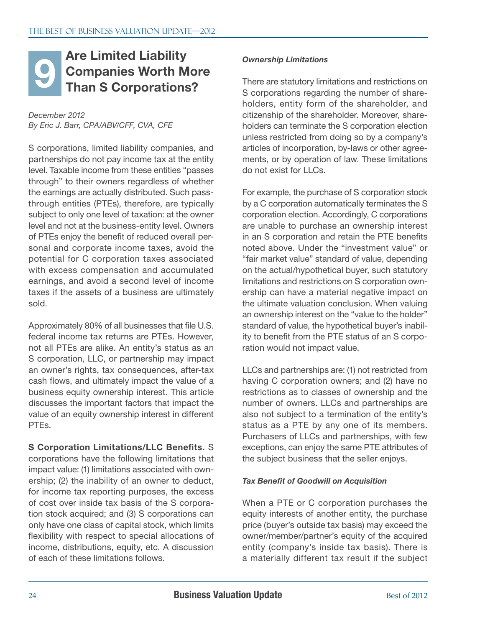#### <span id="page-23-0"></span>Are Limited Liability Companies Worth More Than S Corporations? **Example 19 Are Limited Liability**<br> **Companies Worth More**<br> **Than S Corporations?** There are statutory limit<br>
S corporations regard

*December 2012 By Eric J. Barr, CPA/ABV/CFF, CVA, CFE*

S corporations, limited liability companies, and partnerships do not pay income tax at the entity level. Taxable income from these entities "passes through" to their owners regardless of whether the earnings are actually distributed. Such passthrough entities (PTEs), therefore, are typically subject to only one level of taxation: at the owner level and not at the business-entity level. Owners of PTEs enjoy the benefit of reduced overall personal and corporate income taxes, avoid the potential for C corporation taxes associated with excess compensation and accumulated earnings, and avoid a second level of income taxes if the assets of a business are ultimately sold.

Approximately 80% of all businesses that file U.S. federal income tax returns are PTEs. However, not all PTEs are alike. An entity's status as an S corporation, LLC, or partnership may impact an owner's rights, tax consequences, after-tax cash flows, and ultimately impact the value of a business equity ownership interest. This article discusses the important factors that impact the value of an equity ownership interest in different PTEs.

S Corporation Limitations/LLC Benefits. S corporations have the following limitations that impact value: (1) limitations associated with ownership; (2) the inability of an owner to deduct, for income tax reporting purposes, the excess of cost over inside tax basis of the S corporation stock acquired; and (3) S corporations can only have one class of capital stock, which limits flexibility with respect to special allocations of income, distributions, equity, etc. A discussion of each of these limitations follows.

There are statutory limitations and restrictions on S corporations regarding the number of shareholders, entity form of the shareholder, and citizenship of the shareholder. Moreover, shareholders can terminate the S corporation election unless restricted from doing so by a company's articles of incorporation, by-laws or other agreements, or by operation of law. These limitations do not exist for LLCs.

For example, the purchase of S corporation stock by a C corporation automatically terminates the S corporation election. Accordingly, C corporations are unable to purchase an ownership interest in an S corporation and retain the PTE benefits noted above. Under the "investment value" or "fair market value" standard of value, depending on the actual/hypothetical buyer, such statutory limitations and restrictions on S corporation ownership can have a material negative impact on the ultimate valuation conclusion. When valuing an ownership interest on the "value to the holder" standard of value, the hypothetical buyer's inability to benefit from the PTE status of an S corporation would not impact value.

LLCs and partnerships are: (1) not restricted from having C corporation owners; and (2) have no restrictions as to classes of ownership and the number of owners. LLCs and partnerships are also not subject to a termination of the entity's status as a PTE by any one of its members. Purchasers of LLCs and partnerships, with few exceptions, can enjoy the same PTE attributes of the subject business that the seller enjoys.

#### *Tax Benefit of Goodwill on Acquisition*

When a PTE or C corporation purchases the equity interests of another entity, the purchase price (buyer's outside tax basis) may exceed the owner/member/partner's equity of the acquired entity (company's inside tax basis). There is a materially different tax result if the subject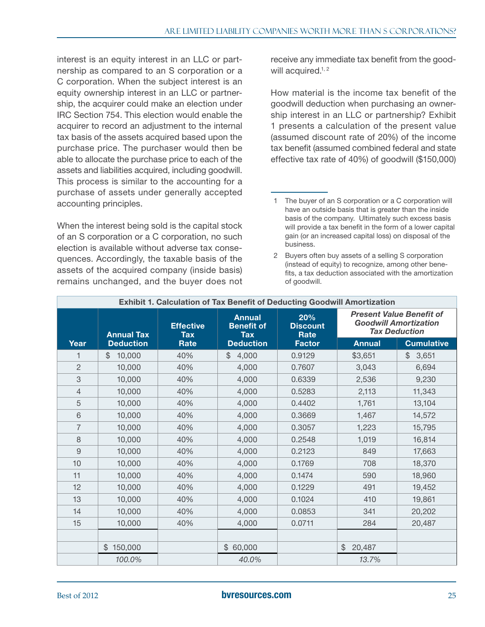interest is an equity interest in an LLC or partnership as compared to an S corporation or a C corporation. When the subject interest is an equity ownership interest in an LLC or partnership, the acquirer could make an election under IRC Section 754. This election would enable the acquirer to record an adjustment to the internal tax basis of the assets acquired based upon the purchase price. The purchaser would then be able to allocate the purchase price to each of the assets and liabilities acquired, including goodwill. This process is similar to the accounting for a purchase of assets under generally accepted accounting principles.

When the interest being sold is the capital stock of an S corporation or a C corporation, no such election is available without adverse tax consequences. Accordingly, the taxable basis of the assets of the acquired company (inside basis) remains unchanged, and the buyer does not

receive any immediate tax benefit from the goodwill acquired.<sup>1, 2</sup>

How material is the income tax benefit of the goodwill deduction when purchasing an ownership interest in an LLC or partnership? Exhibit 1 presents a calculation of the present value (assumed discount rate of 20%) of the income tax benefit (assumed combined federal and state effective tax rate of 40%) of goodwill (\$150,000)

<sup>2</sup> Buyers often buy assets of a selling S corporation (instead of equity) to recognize, among other benefits, a tax deduction associated with the amortization of goodwill.

| <b>Exhibit 1. Calculation of Tax Benefit of Deducting Goodwill Amortization</b> |                   |                         |                                                  |                                |               |                                                                                         |  |  |  |
|---------------------------------------------------------------------------------|-------------------|-------------------------|--------------------------------------------------|--------------------------------|---------------|-----------------------------------------------------------------------------------------|--|--|--|
|                                                                                 | <b>Annual Tax</b> | <b>Effective</b><br>Tax | <b>Annual</b><br><b>Benefit of</b><br><b>Tax</b> | 20%<br><b>Discount</b><br>Rate |               | <b>Present Value Benefit of</b><br><b>Goodwill Amortization</b><br><b>Tax Deduction</b> |  |  |  |
| Year                                                                            | <b>Deduction</b>  | Rate                    | <b>Deduction</b>                                 | <b>Factor</b>                  | <b>Annual</b> | <b>Cumulative</b>                                                                       |  |  |  |
| 1                                                                               | \$<br>10,000      | 40%                     | 4,000<br>\$                                      | 0.9129                         | \$3,651       | $\frac{1}{2}$<br>3,651                                                                  |  |  |  |
| $\overline{2}$                                                                  | 10,000            | 40%                     | 4,000                                            | 0.7607                         | 3,043         | 6,694                                                                                   |  |  |  |
| 3                                                                               | 10,000            | 40%                     | 4,000                                            | 0.6339                         | 2,536         | 9,230                                                                                   |  |  |  |
| $\overline{4}$                                                                  | 10,000            | 40%                     | 4,000                                            | 0.5283                         | 2,113         | 11,343                                                                                  |  |  |  |
| 5                                                                               | 10,000            | 40%                     | 4,000                                            | 0.4402                         | 1,761         | 13,104                                                                                  |  |  |  |
| $6\phantom{1}$                                                                  | 10,000            | 40%                     | 4,000                                            | 0.3669                         | 1,467         | 14,572                                                                                  |  |  |  |
| $\overline{7}$                                                                  | 10,000            | 40%                     | 4,000                                            | 0.3057                         | 1,223         | 15,795                                                                                  |  |  |  |
| $\,8\,$                                                                         | 10,000            | 40%                     | 4,000                                            | 0.2548                         | 1,019         | 16,814                                                                                  |  |  |  |
| $\overline{9}$                                                                  | 10,000            | 40%                     | 4,000                                            | 0.2123                         | 849           | 17,663                                                                                  |  |  |  |
| 10                                                                              | 10,000            | 40%                     | 4,000                                            | 0.1769                         | 708           | 18,370                                                                                  |  |  |  |
| 11                                                                              | 10,000            | 40%                     | 4,000                                            | 0.1474                         | 590           | 18,960                                                                                  |  |  |  |
| 12                                                                              | 10,000            | 40%                     | 4,000                                            | 0.1229                         | 491           | 19,452                                                                                  |  |  |  |
| 13                                                                              | 10,000            | 40%                     | 4,000                                            | 0.1024                         | 410           | 19,861                                                                                  |  |  |  |
| 14                                                                              | 10,000            | 40%                     | 4,000                                            | 0.0853<br>341                  |               | 20,202                                                                                  |  |  |  |
| 15                                                                              | 10,000            | 40%                     | 4,000                                            | 0.0711                         | 284           | 20,487                                                                                  |  |  |  |
|                                                                                 |                   |                         |                                                  |                                |               |                                                                                         |  |  |  |
|                                                                                 | 150,000<br>\$     |                         | \$60,000                                         |                                | \$<br>20,487  |                                                                                         |  |  |  |
|                                                                                 | 100.0%            |                         | 40.0%                                            |                                | 13.7%         |                                                                                         |  |  |  |

<sup>1</sup> The buyer of an S corporation or a C corporation will have an outside basis that is greater than the inside basis of the company. Ultimately such excess basis will provide a tax benefit in the form of a lower capital gain (or an increased capital loss) on disposal of the business.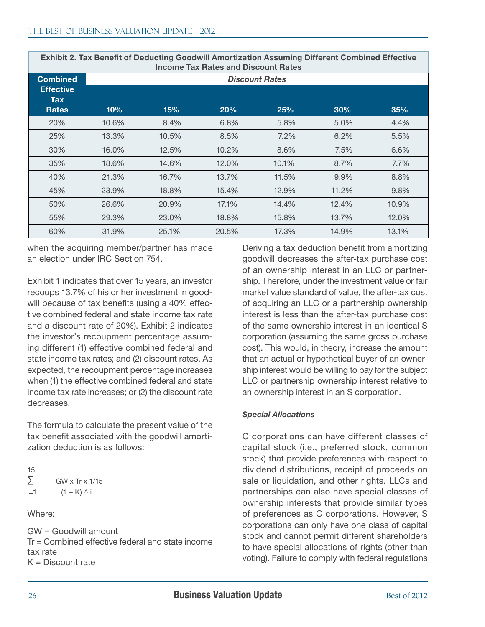| $111001110$ Tax Hatco and Discount Hatco       |       |       |       |       |       |       |  |  |
|------------------------------------------------|-------|-------|-------|-------|-------|-------|--|--|
| <b>Combined</b>                                |       |       |       |       |       |       |  |  |
| <b>Effective</b><br><b>Tax</b><br><b>Rates</b> | 10%   | 15%   | 20%   | 25%   | 30%   | 35%   |  |  |
| 20%                                            | 10.6% | 8.4%  | 6.8%  | 5.8%  | 5.0%  | 4.4%  |  |  |
| 25%                                            | 13.3% | 10.5% | 8.5%  | 7.2%  | 6.2%  | 5.5%  |  |  |
| 30%                                            | 16.0% | 12.5% | 10.2% | 8.6%  | 7.5%  | 6.6%  |  |  |
| 35%                                            | 18.6% | 14.6% | 12.0% | 10.1% | 8.7%  | 7.7%  |  |  |
| 40%                                            | 21.3% | 16.7% | 13.7% | 11.5% | 9.9%  | 8.8%  |  |  |
| 45%                                            | 23.9% | 18.8% | 15.4% | 12.9% | 11.2% | 9.8%  |  |  |
| 50%                                            | 26.6% | 20.9% | 17.1% | 14.4% | 12.4% | 10.9% |  |  |
| 55%                                            | 29.3% | 23.0% | 18.8% | 15.8% | 13.7% | 12.0% |  |  |
| 60%                                            | 31.9% | 25.1% | 20.5% | 17.3% | 14.9% | 13.1% |  |  |

Exhibit 2. Tax Benefit of Deducting Goodwill Amortization Assuming Different Combined Effective Income Tax Rates and Discount Rates

when the acquiring member/partner has made an election under IRC Section 754.

Exhibit 1 indicates that over 15 years, an investor recoups 13.7% of his or her investment in goodwill because of tax benefits (using a 40% effective combined federal and state income tax rate and a discount rate of 20%). Exhibit 2 indicates the investor's recoupment percentage assuming different (1) effective combined federal and state income tax rates; and (2) discount rates. As expected, the recoupment percentage increases when (1) the effective combined federal and state income tax rate increases; or (2) the discount rate decreases.

The formula to calculate the present value of the tax benefit associated with the goodwill amortization deduction is as follows:

| 15    |                              |
|-------|------------------------------|
| Σ     | GW $\times$ Tr $\times$ 1/15 |
| $i=1$ | $(1 + K)$ ^ i                |

Where:

GW = Goodwill amount Tr = Combined effective federal and state income tax rate  $K =$  Discount rate

Deriving a tax deduction benefit from amortizing goodwill decreases the after-tax purchase cost of an ownership interest in an LLC or partnership. Therefore, under the investment value or fair market value standard of value, the after-tax cost of acquiring an LLC or a partnership ownership interest is less than the after-tax purchase cost of the same ownership interest in an identical S corporation (assuming the same gross purchase cost). This would, in theory, increase the amount that an actual or hypothetical buyer of an ownership interest would be willing to pay for the subject LLC or partnership ownership interest relative to an ownership interest in an S corporation.

#### *Special Allocations*

C corporations can have different classes of capital stock (i.e., preferred stock, common stock) that provide preferences with respect to dividend distributions, receipt of proceeds on sale or liquidation, and other rights. LLCs and partnerships can also have special classes of ownership interests that provide similar types of preferences as C corporations. However, S corporations can only have one class of capital stock and cannot permit different shareholders to have special allocations of rights (other than voting). Failure to comply with federal regulations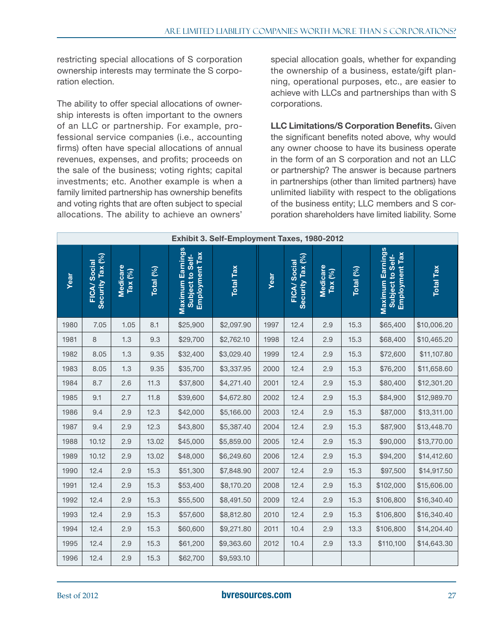restricting special allocations of S corporation ownership interests may terminate the S corporation election.

The ability to offer special allocations of ownership interests is often important to the owners of an LLC or partnership. For example, professional service companies (i.e., accounting firms) often have special allocations of annual revenues, expenses, and profits; proceeds on the sale of the business; voting rights; capital investments; etc. Another example is when a family limited partnership has ownership benefits and voting rights that are often subject to special allocations. The ability to achieve an owners'

special allocation goals, whether for expanding the ownership of a business, estate/gift planning, operational purposes, etc., are easier to achieve with LLCs and partnerships than with S corporations.

LLC Limitations/S Corporation Benefits. Given the significant benefits noted above, why would any owner choose to have its business operate in the form of an S corporation and not an LLC or partnership? The answer is because partners in partnerships (other than limited partners) have unlimited liability with respect to the obligations of the business entity; LLC members and S corporation shareholders have limited liability. Some

| Exhibit 3. Self-Employment Taxes, 1980-2012 |                                 |                                                               |           |                                                                      |                  |      |                                        |                       |           |                                                        |                  |
|---------------------------------------------|---------------------------------|---------------------------------------------------------------|-----------|----------------------------------------------------------------------|------------------|------|----------------------------------------|-----------------------|-----------|--------------------------------------------------------|------------------|
| Year                                        | Security Tax (%)<br>FICA/Social | Medicare<br>$\mathsf{Tax}\left(^{\circ}\!\!/\!\!\circ\right)$ | Total (%) | <b>Maximum Earnings</b><br><b>Employment Tax</b><br>Subject to Self- | <b>Total Tax</b> | Year | Security Tax (%)<br><b>FICA/Social</b> | Medicare<br>Tax $(%)$ | Total (%) | Maximum Earnings<br>Employment Tax<br>Subject to Self- | <b>Total Tax</b> |
| 1980                                        | 7.05                            | 1.05                                                          | 8.1       | \$25,900                                                             | \$2,097.90       | 1997 | 12.4                                   | 2.9                   | 15.3      | \$65,400                                               | \$10,006.20      |
| 1981                                        | 8                               | 1.3                                                           | 9.3       | \$29,700                                                             | \$2,762.10       | 1998 | 12.4                                   | 2.9                   | 15.3      | \$68,400                                               | \$10,465.20      |
| 1982                                        | 8.05                            | 1.3                                                           | 9.35      | \$32,400                                                             | \$3,029.40       | 1999 | 12.4                                   | 2.9                   | 15.3      | \$72,600                                               | \$11,107.80      |
| 1983                                        | 8.05                            | 1.3                                                           | 9.35      | \$35,700                                                             | \$3,337.95       | 2000 | 12.4                                   | 2.9                   | 15.3      | \$76,200                                               | \$11,658.60      |
| 1984                                        | 8.7                             | 2.6                                                           | 11.3      | \$37,800                                                             | \$4,271.40       | 2001 | 12.4                                   | 2.9                   | 15.3      | \$80,400                                               | \$12,301.20      |
| 1985                                        | 9.1                             | 2.7                                                           | 11.8      | \$39,600                                                             | \$4,672.80       | 2002 | 12.4                                   | 2.9                   | 15.3      | \$84,900                                               | \$12,989.70      |
| 1986                                        | 9.4                             | 2.9                                                           | 12.3      | \$42,000                                                             | \$5,166.00       | 2003 | 12.4                                   | 2.9                   | 15.3      | \$87,000                                               | \$13,311.00      |
| 1987                                        | 9.4                             | 2.9                                                           | 12.3      | \$43,800                                                             | \$5,387.40       | 2004 | 12.4                                   | 2.9                   | 15.3      | \$87,900                                               | \$13,448.70      |
| 1988                                        | 10.12                           | 2.9                                                           | 13.02     | \$45,000                                                             | \$5,859.00       | 2005 | 12.4                                   | 2.9                   | 15.3      | \$90,000                                               | \$13,770.00      |
| 1989                                        | 10.12                           | 2.9                                                           | 13.02     | \$48,000                                                             | \$6,249.60       | 2006 | 12.4                                   | 2.9                   | 15.3      | \$94,200                                               | \$14,412.60      |
| 1990                                        | 12.4                            | 2.9                                                           | 15.3      | \$51,300                                                             | \$7,848.90       | 2007 | 12.4                                   | 2.9                   | 15.3      | \$97,500                                               | \$14,917.50      |
| 1991                                        | 12.4                            | 2.9                                                           | 15.3      | \$53,400                                                             | \$8,170.20       | 2008 | 12.4                                   | 2.9                   | 15.3      | \$102,000                                              | \$15,606.00      |
| 1992                                        | 12.4                            | 2.9                                                           | 15.3      | \$55,500                                                             | \$8,491.50       | 2009 | 12.4                                   | 2.9                   | 15.3      | \$106,800                                              | \$16,340.40      |
| 1993                                        | 12.4                            | 2.9                                                           | 15.3      | \$57,600                                                             | \$8,812.80       | 2010 | 12.4                                   | 2.9                   | 15.3      | \$106,800                                              | \$16,340.40      |
| 1994                                        | 12.4                            | 2.9                                                           | 15.3      | \$60,600                                                             | \$9,271.80       | 2011 | 10.4                                   | 2.9                   | 13.3      | \$106,800                                              | \$14,204.40      |
| 1995                                        | 12.4                            | 2.9                                                           | 15.3      | \$61,200                                                             | \$9,363.60       | 2012 | 10.4                                   | 2.9                   | 13.3      | \$110,100                                              | \$14,643.30      |
| 1996                                        | 12.4                            | 2.9                                                           | 15.3      | \$62,700                                                             | \$9,593.10       |      |                                        |                       |           |                                                        |                  |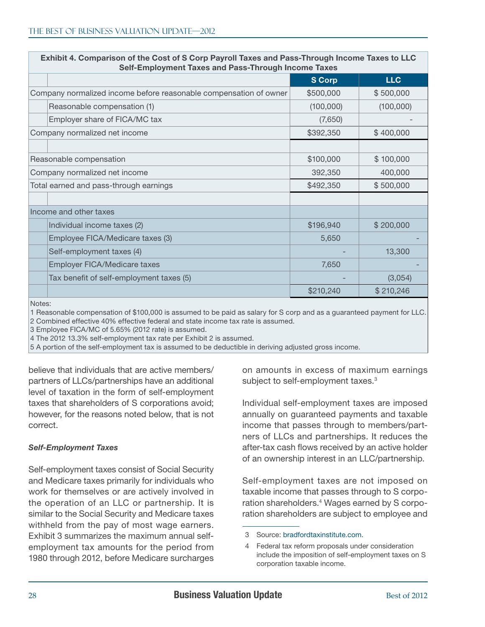| Seil-Employment Taxes and Pass-Through Income Taxes               |               |            |
|-------------------------------------------------------------------|---------------|------------|
|                                                                   | <b>S Corp</b> | <b>LLC</b> |
| Company normalized income before reasonable compensation of owner | \$500,000     | \$500,000  |
| Reasonable compensation (1)                                       | (100,000)     | (100,000)  |
| Employer share of FICA/MC tax                                     | (7,650)       |            |
| Company normalized net income                                     | \$392,350     | \$400,000  |
|                                                                   |               |            |
| Reasonable compensation                                           | \$100,000     | \$100,000  |
| Company normalized net income                                     | 392,350       | 400,000    |
| Total earned and pass-through earnings                            | \$492,350     | \$500,000  |
|                                                                   |               |            |
| Income and other taxes                                            |               |            |
| Individual income taxes (2)                                       | \$196,940     | \$200,000  |
| Employee FICA/Medicare taxes (3)                                  | 5,650         |            |
| Self-employment taxes (4)                                         |               | 13,300     |
| Employer FICA/Medicare taxes                                      | 7,650         |            |
| Tax benefit of self-employment taxes (5)                          |               | (3,054)    |
|                                                                   | \$210,240     | \$210,246  |

Exhibit 4. Comparison of the Cost of S Corp Payroll Taxes and Pass-Through Income Taxes to LLC Self-Employment Taxes and Pass-Through Income Taxes

Notes:

1 Reasonable compensation of \$100,000 is assumed to be paid as salary for S corp and as a guaranteed payment for LLC.

2 Combined effective 40% effective federal and state income tax rate is assumed. 3 Employee FICA/MC of 5.65% (2012 rate) is assumed.

4 The 2012 13.3% self-employment tax rate per Exhibit 2 is assumed.

5 A portion of the self-employment tax is assumed to be deductible in deriving adjusted gross income.

believe that individuals that are active members/ partners of LLCs/partnerships have an additional level of taxation in the form of self-employment taxes that shareholders of S corporations avoid; however, for the reasons noted below, that is not correct.

#### *Self-Employment Taxes*

Self-employment taxes consist of Social Security and Medicare taxes primarily for individuals who work for themselves or are actively involved in the operation of an LLC or partnership. It is similar to the Social Security and Medicare taxes withheld from the pay of most wage earners. Exhibit 3 summarizes the maximum annual selfemployment tax amounts for the period from 1980 through 2012, before Medicare surcharges

on amounts in excess of maximum earnings subject to self-employment taxes.<sup>3</sup>

Individual self-employment taxes are imposed annually on guaranteed payments and taxable income that passes through to members/partners of LLCs and partnerships. It reduces the after-tax cash flows received by an active holder of an ownership interest in an LLC/partnership.

Self-employment taxes are not imposed on taxable income that passes through to S corporation shareholders. 4 Wages earned by S corporation shareholders are subject to employee and

<sup>3</sup> Source: [bradfordtaxinstitute.com.](http://bradfordtaxinstitute.com)

<sup>4</sup> Federal tax reform proposals under consideration include the imposition of self-employment taxes on S corporation taxable income.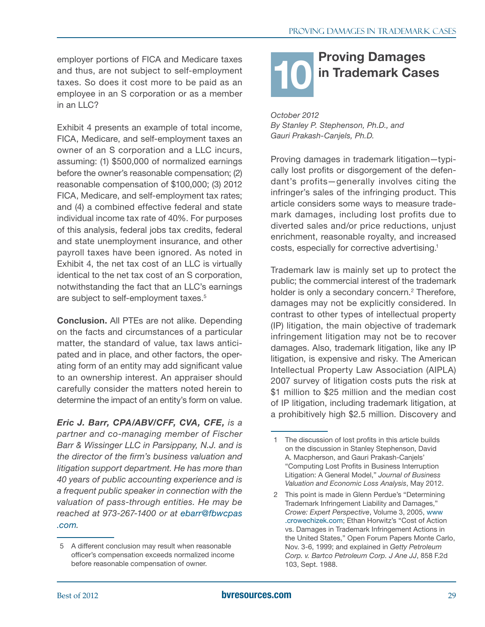<span id="page-28-0"></span>employer portions of FICA and Medicare taxes and thus, are not subject to self-employment taxes. So does it cost more to be paid as an employee in an S corporation or as a member in an LLC?

Exhibit 4 presents an example of total income, FICA, Medicare, and self-employment taxes an owner of an S corporation and a LLC incurs, assuming: (1) \$500,000 of normalized earnings before the owner's reasonable compensation; (2) reasonable compensation of \$100,000; (3) 2012 FICA, Medicare, and self-employment tax rates; and (4) a combined effective federal and state individual income tax rate of 40%. For purposes of this analysis, federal jobs tax credits, federal and state unemployment insurance, and other payroll taxes have been ignored. As noted in Exhibit 4, the net tax cost of an LLC is virtually identical to the net tax cost of an S corporation, notwithstanding the fact that an LLC's earnings are subject to self-employment taxes. 5

Conclusion. All PTEs are not alike. Depending on the facts and circumstances of a particular matter, the standard of value, tax laws anticipated and in place, and other factors, the operating form of an entity may add significant value to an ownership interest. An appraiser should carefully consider the matters noted herein to determine the impact of an entity's form on value.

*Eric J. Barr, CPA/ABV/CFF, CVA, CFE, is a partner and co-managing member of Fischer Barr & Wissinger LLC in Parsippany, N.J. and is the director of the firm's business valuation and litigation support department. He has more than 40 years of public accounting experience and is a frequent public speaker in connection with the valuation of pass-through entities. He may be reached at 973-267-1400 or at [ebarr@fbwcpas](mailto:ebarr@fbwcpas.com) [.com](mailto:ebarr@fbwcpas.com).*

# Proving Damages in Trademark Cases 10

*October 2012 By Stanley P. Stephenson, Ph.D., and Gauri Prakash-Canjels, Ph.D.*

Proving damages in trademark litigation—typically lost profits or disgorgement of the defendant's profits—generally involves citing the infringer's sales of the infringing product. This article considers some ways to measure trademark damages, including lost profits due to diverted sales and/or price reductions, unjust enrichment, reasonable royalty, and increased costs, especially for corrective advertising. 1

Trademark law is mainly set up to protect the public; the commercial interest of the trademark holder is only a secondary concern.<sup>2</sup> Therefore, damages may not be explicitly considered. In contrast to other types of intellectual property (IP) litigation, the main objective of trademark infringement litigation may not be to recover damages. Also, trademark litigation, like any IP litigation, is expensive and risky. The American Intellectual Property Law Association (AIPLA) 2007 survey of litigation costs puts the risk at \$1 million to \$25 million and the median cost of IP litigation, including trademark litigation, at a prohibitively high \$2.5 million. Discovery and

<sup>5</sup> A different conclusion may result when reasonable officer's compensation exceeds normalized income before reasonable compensation of owner.

<sup>1</sup> The discussion of lost profits in this article builds on the discussion in Stanley Stephenson, David A. Macpherson, and Gauri Prakash-Canjels' "Computing Lost Profits in Business Interruption Litigation: A General Model," *Journal of Business Valuation and Economic Loss Analysis*, May 2012.

<sup>2</sup> This point is made in Glenn Perdue's "Determining Trademark Infringement Liability and Damages," *Crowe: Expert Perspective*, Volume 3, 2005, [www](http://www.crowechizek.com) [.crowechizek.com;](http://www.crowechizek.com) Ethan Horwitz's "Cost of Action vs. Damages in Trademark Infringement Actions in the United States," Open Forum Papers Monte Carlo, Nov. 3-6, 1999; and explained in *Getty Petroleum Corp. v. Bartco Petroleum Corp. J Ane JJ*, 858 F.2d 103, Sept. 1988.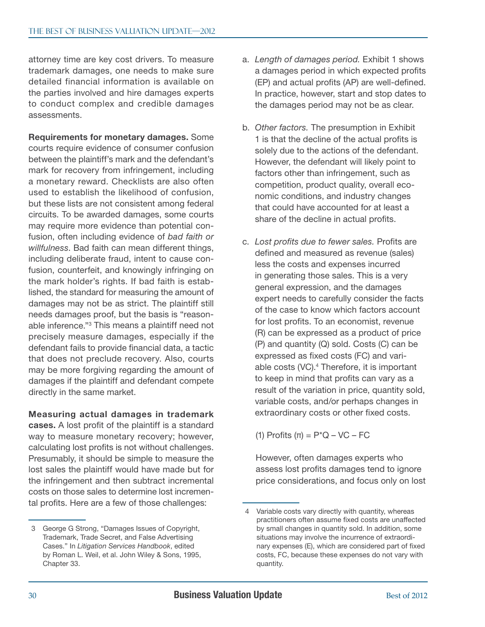attorney time are key cost drivers. To measure trademark damages, one needs to make sure detailed financial information is available on the parties involved and hire damages experts to conduct complex and credible damages assessments.

Requirements for monetary damages. Some courts require evidence of consumer confusion between the plaintiff's mark and the defendant's mark for recovery from infringement, including a monetary reward. Checklists are also often used to establish the likelihood of confusion, but these lists are not consistent among federal circuits. To be awarded damages, some courts may require more evidence than potential confusion, often including evidence of *bad faith or willfulness*. Bad faith can mean different things, including deliberate fraud, intent to cause confusion, counterfeit, and knowingly infringing on the mark holder's rights. If bad faith is established, the standard for measuring the amount of damages may not be as strict. The plaintiff still needs damages proof, but the basis is "reasonable inference."3 This means a plaintiff need not precisely measure damages, especially if the defendant fails to provide financial data, a tactic that does not preclude recovery. Also, courts may be more forgiving regarding the amount of damages if the plaintiff and defendant compete directly in the same market.

Measuring actual damages in trademark

cases. A lost profit of the plaintiff is a standard way to measure monetary recovery; however, calculating lost profits is not without challenges. Presumably, it should be simple to measure the lost sales the plaintiff would have made but for the infringement and then subtract incremental costs on those sales to determine lost incremental profits. Here are a few of those challenges:

- a. *Length of damages period.* Exhibit 1 shows a damages period in which expected profits (EP) and actual profits (AP) are well-defined. In practice, however, start and stop dates to the damages period may not be as clear.
- b. *Other factors.* The presumption in Exhibit 1 is that the decline of the actual profits is solely due to the actions of the defendant. However, the defendant will likely point to factors other than infringement, such as competition, product quality, overall economic conditions, and industry changes that could have accounted for at least a share of the decline in actual profits.
- c. *Lost profits due to fewer sales.* Profits are defined and measured as revenue (sales) less the costs and expenses incurred in generating those sales. This is a very general expression, and the damages expert needs to carefully consider the facts of the case to know which factors account for lost profits. To an economist, revenue (R) can be expressed as a product of price (P) and quantity (Q) sold. Costs (C) can be expressed as fixed costs (FC) and variable costs (VC). 4 Therefore, it is important to keep in mind that profits can vary as a result of the variation in price, quantity sold, variable costs, and/or perhaps changes in extraordinary costs or other fixed costs.

(1) Profits  $(\pi) = P^*Q - VC - FC$ 

However, often damages experts who assess lost profits damages tend to ignore price considerations, and focus only on lost

<sup>3</sup> George G Strong, "Damages Issues of Copyright, Trademark, Trade Secret, and False Advertising Cases." In *Litigation Services Handbook*, edited by Roman L. Weil, et al. John Wiley & Sons, 1995, Chapter 33.

<sup>4</sup> Variable costs vary directly with quantity, whereas practitioners often assume fixed costs are unaffected by small changes in quantity sold. In addition, some situations may involve the incurrence of extraordinary expenses (E), which are considered part of fixed costs, FC, because these expenses do not vary with quantity.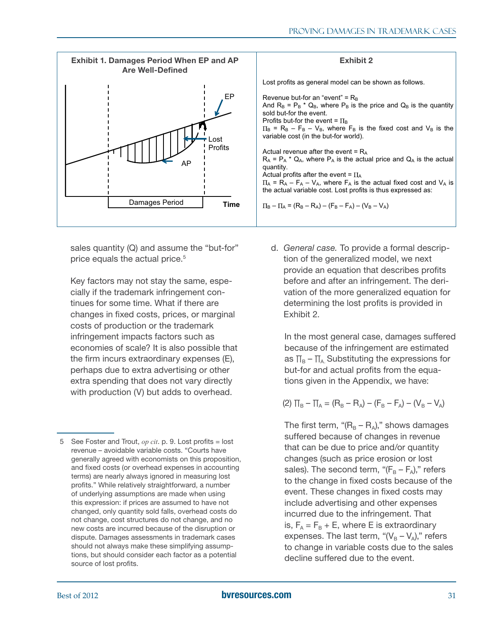

sales quantity (Q) and assume the "but-for" price equals the actual price. 5

Key factors may not stay the same, especially if the trademark infringement continues for some time. What if there are changes in fixed costs, prices, or marginal costs of production or the trademark infringement impacts factors such as economies of scale? It is also possible that the firm incurs extraordinary expenses (E), perhaps due to extra advertising or other extra spending that does not vary directly with production (V) but adds to overhead.

#### Exhibit 2

Lost profits as general model can be shown as follows.

Revenue but-for an "event" =  $R_B$ And  $R_B = P_B * Q_B$ , where  $P_B$  is the price and  $Q_B$  is the quantity sold but-for the event. Profits but-for the event =  $\Pi_B$  $\Pi_B$  = R<sub>B</sub> – F<sub>B</sub> – V<sub>B</sub>, where F<sub>B</sub> is the fixed cost and V<sub>B</sub> is the variable cost (in the but-for world). Actual revenue after the event  $= R_A$  $R_A$  =  $P_A$  \*  $Q_A$ , where  $P_A$  is the actual price and  $Q_A$  is the actual quantity. Actual profits after the event =  $\Pi_{\mathsf{A}}$  $\Pi_A = R_A - F_A - V_A$ , where  $F_A$  is the actual fixed cost and  $V_A$  is the actual variable cost. Lost profits is thus expressed as:  $\Pi_B - \Pi_A = (R_B - R_A) - (F_B - F_A) - (V_B - V_A)$ 

d. *General case.* To provide a formal description of the generalized model, we next provide an equation that describes profits before and after an infringement. The derivation of the more generalized equation for determining the lost profits is provided in Exhibit 2.

In the most general case, damages suffered because of the infringement are estimated as  $\Pi_B - \Pi_A$  Substituting the expressions for but-for and actual profits from the equations given in the Appendix, we have:

$$
(2) \ \Pi_B - \Pi_A = (R_B - R_A) - (F_B - F_A) - (V_B - V_A)
$$

The first term, " $(R_B - R_A)$ ," shows damages suffered because of changes in revenue that can be due to price and/or quantity changes (such as price erosion or lost sales). The second term, " $(F_B - F_A)$ ," refers to the change in fixed costs because of the event. These changes in fixed costs may include advertising and other expenses incurred due to the infringement. That is,  $F_A = F_B + E$ , where E is extraordinary expenses. The last term, " $(V_B - V_A)$ ," refers to change in variable costs due to the sales decline suffered due to the event.

<sup>5</sup> See Foster and Trout, *op cit*. p. 9. Lost profits = lost revenue – avoidable variable costs. "Courts have generally agreed with economists on this proposition, and fixed costs (or overhead expenses in accounting terms) are nearly always ignored in measuring lost profits." While relatively straightforward, a number of underlying assumptions are made when using this expression: if prices are assumed to have not changed, only quantity sold falls, overhead costs do not change, cost structures do not change, and no new costs are incurred because of the disruption or dispute. Damages assessments in trademark cases should not always make these simplifying assumptions, but should consider each factor as a potential source of lost profits.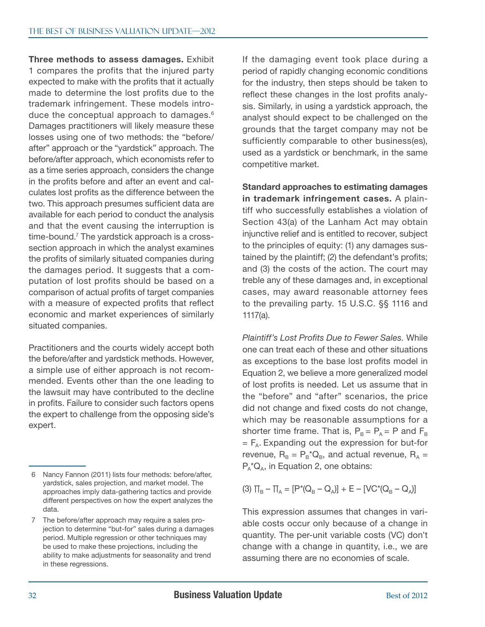Three methods to assess damages. Exhibit 1 compares the profits that the injured party expected to make with the profits that it actually made to determine the lost profits due to the trademark infringement. These models introduce the conceptual approach to damages. 6 Damages practitioners will likely measure these losses using one of two methods: the "before/ after" approach or the "yardstick" approach. The before/after approach, which economists refer to as a time series approach, considers the change in the profits before and after an event and calculates lost profits as the difference between the two. This approach presumes sufficient data are available for each period to conduct the analysis and that the event causing the interruption is time-bound.<sup>7</sup> The yardstick approach is a crosssection approach in which the analyst examines the profits of similarly situated companies during the damages period. It suggests that a computation of lost profits should be based on a comparison of actual profits of target companies with a measure of expected profits that reflect economic and market experiences of similarly situated companies.

Practitioners and the courts widely accept both the before/after and yardstick methods. However, a simple use of either approach is not recommended. Events other than the one leading to the lawsuit may have contributed to the decline in profits. Failure to consider such factors opens the expert to challenge from the opposing side's expert.

If the damaging event took place during a period of rapidly changing economic conditions for the industry, then steps should be taken to reflect these changes in the lost profits analysis. Similarly, in using a yardstick approach, the analyst should expect to be challenged on the grounds that the target company may not be sufficiently comparable to other business(es), used as a yardstick or benchmark, in the same competitive market.

Standard approaches to estimating damages in trademark infringement cases. A plaintiff who successfully establishes a violation of Section 43(a) of the Lanham Act may obtain injunctive relief and is entitled to recover, subject to the principles of equity: (1) any damages sustained by the plaintiff; (2) the defendant's profits; and (3) the costs of the action. The court may treble any of these damages and, in exceptional cases, may award reasonable attorney fees to the prevailing party. 15 U.S.C. §§ 1116 and 1117(a).

*Plaintiff's Lost Profits Due to Fewer Sales.* While one can treat each of these and other situations as exceptions to the base lost profits model in Equation 2, we believe a more generalized model of lost profits is needed. Let us assume that in the "before" and "after" scenarios, the price did not change and fixed costs do not change, which may be reasonable assumptions for a shorter time frame. That is,  $P_B = P_A = P$  and  $F_B$  $=$   $F_A$ . Expanding out the expression for but-for revenue,  $R_B = P_B^* Q_B$ , and actual revenue,  $R_A =$  $P_A^*Q_A$ , in Equation 2, one obtains:

$$
(3) \ \Pi_B - \Pi_A = [P^*(Q_B - Q_A)] + E - [VC^*(Q_B - Q_A)]
$$

This expression assumes that changes in variable costs occur only because of a change in quantity. The per-unit variable costs (VC) don't change with a change in quantity, i.e., we are assuming there are no economies of scale.

<sup>6</sup> Nancy Fannon (2011) lists four methods: before/after, yardstick, sales projection, and market model. The approaches imply data-gathering tactics and provide different perspectives on how the expert analyzes the data.

<sup>7</sup> The before/after approach may require a sales projection to determine "but-for" sales during a damages period. Multiple regression or other techniques may be used to make these projections, including the ability to make adjustments for seasonality and trend in these regressions.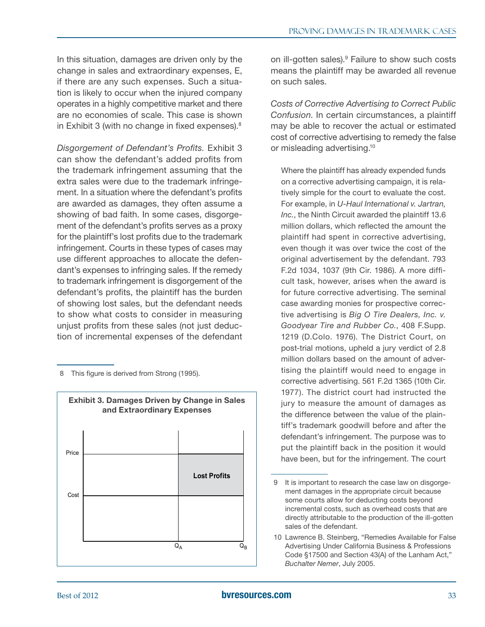In this situation, damages are driven only by the change in sales and extraordinary expenses, E, if there are any such expenses. Such a situation is likely to occur when the injured company operates in a highly competitive market and there are no economies of scale. This case is shown in Exhibit 3 (with no change in fixed expenses).<sup>8</sup>

*Disgorgement of Defendant's Profits.* Exhibit 3 can show the defendant's added profits from the trademark infringement assuming that the extra sales were due to the trademark infringement. In a situation where the defendant's profits are awarded as damages, they often assume a showing of bad faith. In some cases, disgorgement of the defendant's profits serves as a proxy for the plaintiff's lost profits due to the trademark infringement. Courts in these types of cases may use different approaches to allocate the defendant's expenses to infringing sales. If the remedy to trademark infringement is disgorgement of the defendant's profits, the plaintiff has the burden of showing lost sales, but the defendant needs to show what costs to consider in measuring unjust profits from these sales (not just deduction of incremental expenses of the defendant

8 This figure is derived from Strong (1995).



on ill-gotten sales). 9 Failure to show such costs means the plaintiff may be awarded all revenue on such sales.

*Costs of Corrective Advertising to Correct Public Confusion*. In certain circumstances, a plaintiff may be able to recover the actual or estimated cost of corrective advertising to remedy the false or misleading advertising.<sup>10</sup>

Where the plaintiff has already expended funds on a corrective advertising campaign, it is relatively simple for the court to evaluate the cost. For example, in *U-Haul International v. Jartran, Inc.*, the Ninth Circuit awarded the plaintiff 13.6 million dollars, which reflected the amount the plaintiff had spent in corrective advertising, even though it was over twice the cost of the original advertisement by the defendant. 793 F.2d 1034, 1037 (9th Cir. 1986). A more difficult task, however, arises when the award is for future corrective advertising. The seminal case awarding monies for prospective corrective advertising is *Big O Tire Dealers, Inc. v. Goodyear Tire and Rubber Co.*, 408 F.Supp. 1219 (D.Colo. 1976). The District Court, on post-trial motions, upheld a jury verdict of 2.8 million dollars based on the amount of advertising the plaintiff would need to engage in corrective advertising. 561 F.2d 1365 (10th Cir. 1977). The district court had instructed the jury to measure the amount of damages as the difference between the value of the plaintiff's trademark goodwill before and after the defendant's infringement. The purpose was to put the plaintiff back in the position it would have been, but for the infringement. The court

<sup>9</sup> It is important to research the case law on disgorgement damages in the appropriate circuit because some courts allow for deducting costs beyond incremental costs, such as overhead costs that are directly attributable to the production of the ill-gotten sales of the defendant.

<sup>10</sup> Lawrence B. Steinberg, "Remedies Available for False Advertising Under California Business & Professions Code §17500 and Section 43(A) of the Lanham Act," *Buchalter Nemer*, July 2005.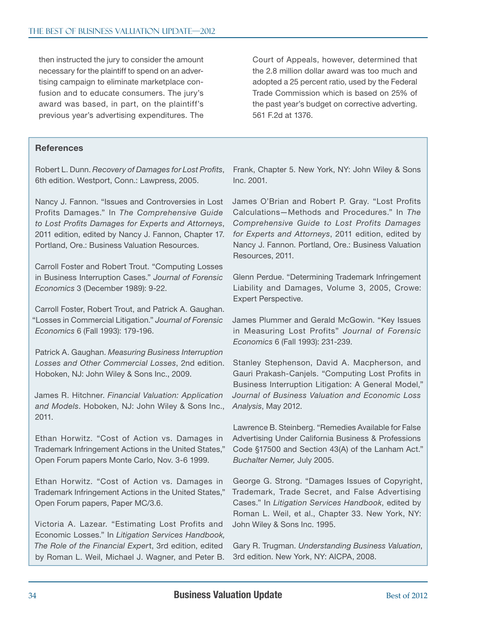then instructed the jury to consider the amount necessary for the plaintiff to spend on an advertising campaign to eliminate marketplace confusion and to educate consumers. The jury's award was based, in part, on the plaintiff's previous year's advertising expenditures. The Court of Appeals, however, determined that the 2.8 million dollar award was too much and adopted a 25 percent ratio, used by the Federal Trade Commission which is based on 25% of the past year's budget on corrective adverting. 561 F.2d at 1376.

#### **References**

Robert L. Dunn. *Recovery of Damages for Lost Profits*, 6th edition. Westport, Conn.: Lawpress, 2005.

Nancy J. Fannon. "Issues and Controversies in Lost Profits Damages." In *The Comprehensive Guide to Lost Profits Damages for Experts and Attorneys*, 2011 edition, edited by Nancy J. Fannon, Chapter 17. Portland, Ore.: Business Valuation Resources.

Carroll Foster and Robert Trout. "Computing Losses in Business Interruption Cases." *Journal of Forensic Economics* 3 (December 1989): 9-22.

Carroll Foster, Robert Trout, and Patrick A. Gaughan. "Losses in Commercial Litigation." *Journal of Forensic Economics* 6 (Fall 1993): 179-196.

Patrick A. Gaughan. *Measuring Business Interruption Losses and Other Commercial Losses*, 2nd edition. Hoboken, NJ: John Wiley & Sons Inc., 2009.

James R. Hitchner. *Financial Valuation: Application and Models*. Hoboken, NJ: John Wiley & Sons Inc., 2011.

Ethan Horwitz. "Cost of Action vs. Damages in Trademark Infringement Actions in the United States," Open Forum papers Monte Carlo, Nov. 3-6 1999.

Ethan Horwitz. "Cost of Action vs. Damages in Trademark Infringement Actions in the United States," Open Forum papers, Paper MC/3.6.

Victoria A. Lazear. "Estimating Lost Profits and Economic Losses." In *Litigation Services Handbook, The Role of the Financial Exper*t, 3rd edition, edited by Roman L. Weil, Michael J. Wagner, and Peter B. Frank, Chapter 5. New York, NY: John Wiley & Sons Inc. 2001.

James O'Brian and Robert P. Gray. "Lost Profits Calculations—Methods and Procedures." In *The Comprehensive Guide to Lost Profits Damages for Experts and Attorneys*, 2011 edition, edited by Nancy J. Fannon. Portland, Ore.: Business Valuation Resources, 2011.

Glenn Perdue. "Determining Trademark Infringement Liability and Damages, Volume 3, 2005, Crowe: Expert Perspective.

James Plummer and Gerald McGowin. "Key Issues in Measuring Lost Profits" *Journal of Forensic Economics* 6 (Fall 1993): 231-239.

Stanley Stephenson, David A. Macpherson, and Gauri Prakash-Canjels. "Computing Lost Profits in Business Interruption Litigation: A General Model," *Journal of Business Valuation and Economic Loss Analysis*, May 2012.

Lawrence B. Steinberg. "Remedies Available for False Advertising Under California Business & Professions Code §17500 and Section 43(A) of the Lanham Act." *Buchalter Nemer,* July 2005.

George G. Strong. "Damages Issues of Copyright, Trademark, Trade Secret, and False Advertising Cases." In *Litigation Services Handbook*, edited by Roman L. Weil, et al., Chapter 33. New York, NY: John Wiley & Sons Inc. 1995.

Gary R. Trugman. *Understanding Business Valuation*, 3rd edition. New York, NY: AICPA, 2008.